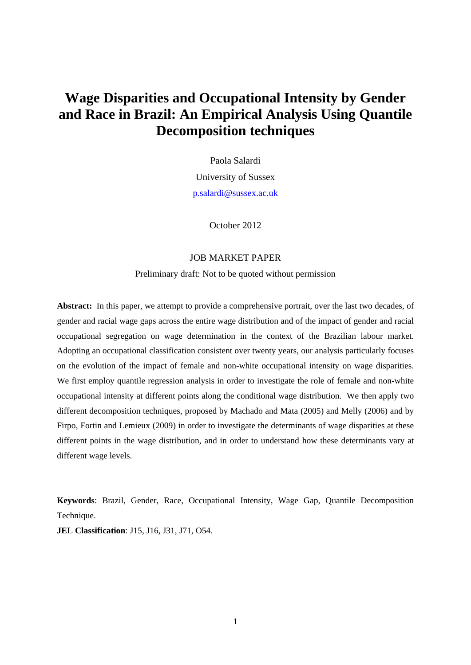# **Wage Disparities and Occupational Intensity by Gender and Race in Brazil: An Empirical Analysis Using Quantile Decomposition techniques**

Paola Salardi University of Sussex p.salardi@sussex.ac.uk

October 2012

### JOB MARKET PAPER

Preliminary draft: Not to be quoted without permission

**Abstract:** In this paper, we attempt to provide a comprehensive portrait, over the last two decades, of gender and racial wage gaps across the entire wage distribution and of the impact of gender and racial occupational segregation on wage determination in the context of the Brazilian labour market. Adopting an occupational classification consistent over twenty years, our analysis particularly focuses on the evolution of the impact of female and non-white occupational intensity on wage disparities. We first employ quantile regression analysis in order to investigate the role of female and non-white occupational intensity at different points along the conditional wage distribution. We then apply two different decomposition techniques, proposed by Machado and Mata (2005) and Melly (2006) and by Firpo, Fortin and Lemieux (2009) in order to investigate the determinants of wage disparities at these different points in the wage distribution, and in order to understand how these determinants vary at different wage levels.

**Keywords**: Brazil, Gender, Race, Occupational Intensity, Wage Gap, Quantile Decomposition Technique.

**JEL Classification**: J15, J16, J31, J71, O54.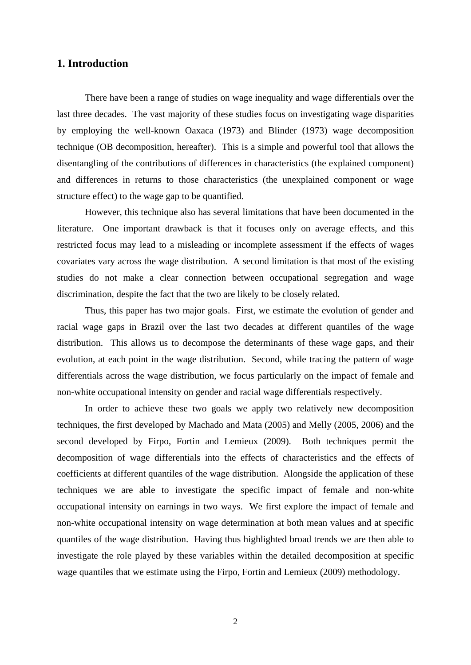## **1. Introduction**

There have been a range of studies on wage inequality and wage differentials over the last three decades. The vast majority of these studies focus on investigating wage disparities by employing the well-known Oaxaca (1973) and Blinder (1973) wage decomposition technique (OB decomposition, hereafter). This is a simple and powerful tool that allows the disentangling of the contributions of differences in characteristics (the explained component) and differences in returns to those characteristics (the unexplained component or wage structure effect) to the wage gap to be quantified.

However, this technique also has several limitations that have been documented in the literature. One important drawback is that it focuses only on average effects, and this restricted focus may lead to a misleading or incomplete assessment if the effects of wages covariates vary across the wage distribution. A second limitation is that most of the existing studies do not make a clear connection between occupational segregation and wage discrimination, despite the fact that the two are likely to be closely related.

Thus, this paper has two major goals. First, we estimate the evolution of gender and racial wage gaps in Brazil over the last two decades at different quantiles of the wage distribution. This allows us to decompose the determinants of these wage gaps, and their evolution, at each point in the wage distribution. Second, while tracing the pattern of wage differentials across the wage distribution, we focus particularly on the impact of female and non-white occupational intensity on gender and racial wage differentials respectively.

In order to achieve these two goals we apply two relatively new decomposition techniques, the first developed by Machado and Mata (2005) and Melly (2005, 2006) and the second developed by Firpo, Fortin and Lemieux (2009). Both techniques permit the decomposition of wage differentials into the effects of characteristics and the effects of coefficients at different quantiles of the wage distribution. Alongside the application of these techniques we are able to investigate the specific impact of female and non-white occupational intensity on earnings in two ways. We first explore the impact of female and non-white occupational intensity on wage determination at both mean values and at specific quantiles of the wage distribution. Having thus highlighted broad trends we are then able to investigate the role played by these variables within the detailed decomposition at specific wage quantiles that we estimate using the Firpo, Fortin and Lemieux (2009) methodology.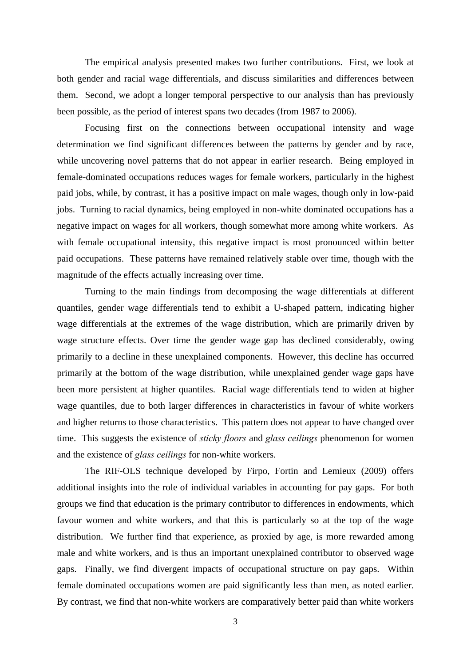The empirical analysis presented makes two further contributions. First, we look at both gender and racial wage differentials, and discuss similarities and differences between them. Second, we adopt a longer temporal perspective to our analysis than has previously been possible, as the period of interest spans two decades (from 1987 to 2006).

Focusing first on the connections between occupational intensity and wage determination we find significant differences between the patterns by gender and by race, while uncovering novel patterns that do not appear in earlier research. Being employed in female-dominated occupations reduces wages for female workers, particularly in the highest paid jobs, while, by contrast, it has a positive impact on male wages, though only in low-paid jobs. Turning to racial dynamics, being employed in non-white dominated occupations has a negative impact on wages for all workers, though somewhat more among white workers. As with female occupational intensity, this negative impact is most pronounced within better paid occupations. These patterns have remained relatively stable over time, though with the magnitude of the effects actually increasing over time.

Turning to the main findings from decomposing the wage differentials at different quantiles, gender wage differentials tend to exhibit a U-shaped pattern, indicating higher wage differentials at the extremes of the wage distribution, which are primarily driven by wage structure effects. Over time the gender wage gap has declined considerably, owing primarily to a decline in these unexplained components. However, this decline has occurred primarily at the bottom of the wage distribution, while unexplained gender wage gaps have been more persistent at higher quantiles. Racial wage differentials tend to widen at higher wage quantiles, due to both larger differences in characteristics in favour of white workers and higher returns to those characteristics. This pattern does not appear to have changed over time. This suggests the existence of *sticky floors* and *glass ceilings* phenomenon for women and the existence of *glass ceilings* for non-white workers.

The RIF-OLS technique developed by Firpo, Fortin and Lemieux (2009) offers additional insights into the role of individual variables in accounting for pay gaps. For both groups we find that education is the primary contributor to differences in endowments, which favour women and white workers, and that this is particularly so at the top of the wage distribution. We further find that experience, as proxied by age, is more rewarded among male and white workers, and is thus an important unexplained contributor to observed wage gaps. Finally, we find divergent impacts of occupational structure on pay gaps. Within female dominated occupations women are paid significantly less than men, as noted earlier. By contrast, we find that non-white workers are comparatively better paid than white workers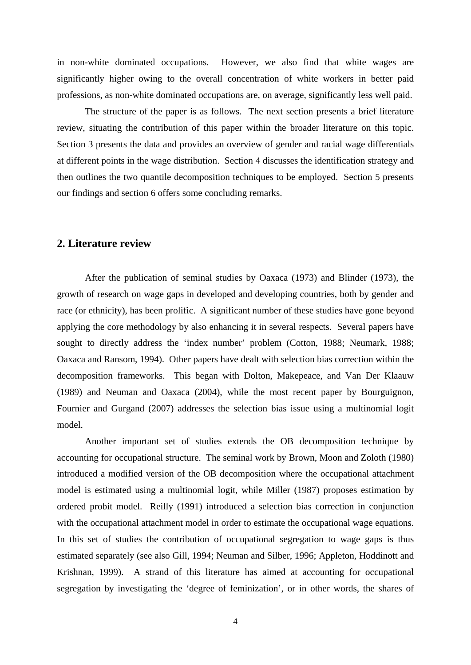in non-white dominated occupations. However, we also find that white wages are significantly higher owing to the overall concentration of white workers in better paid professions, as non-white dominated occupations are, on average, significantly less well paid.

The structure of the paper is as follows. The next section presents a brief literature review, situating the contribution of this paper within the broader literature on this topic. Section 3 presents the data and provides an overview of gender and racial wage differentials at different points in the wage distribution. Section 4 discusses the identification strategy and then outlines the two quantile decomposition techniques to be employed. Section 5 presents our findings and section 6 offers some concluding remarks.

## **2. Literature review**

After the publication of seminal studies by Oaxaca (1973) and Blinder (1973), the growth of research on wage gaps in developed and developing countries, both by gender and race (or ethnicity), has been prolific. A significant number of these studies have gone beyond applying the core methodology by also enhancing it in several respects. Several papers have sought to directly address the 'index number' problem (Cotton, 1988; Neumark, 1988; Oaxaca and Ransom, 1994). Other papers have dealt with selection bias correction within the decomposition frameworks. This began with Dolton, Makepeace, and Van Der Klaauw (1989) and Neuman and Oaxaca (2004), while the most recent paper by Bourguignon, Fournier and Gurgand (2007) addresses the selection bias issue using a multinomial logit model.

Another important set of studies extends the OB decomposition technique by accounting for occupational structure. The seminal work by Brown, Moon and Zoloth (1980) introduced a modified version of the OB decomposition where the occupational attachment model is estimated using a multinomial logit, while Miller (1987) proposes estimation by ordered probit model. Reilly (1991) introduced a selection bias correction in conjunction with the occupational attachment model in order to estimate the occupational wage equations. In this set of studies the contribution of occupational segregation to wage gaps is thus estimated separately (see also Gill, 1994; Neuman and Silber, 1996; Appleton, Hoddinott and Krishnan, 1999). A strand of this literature has aimed at accounting for occupational segregation by investigating the 'degree of feminization', or in other words, the shares of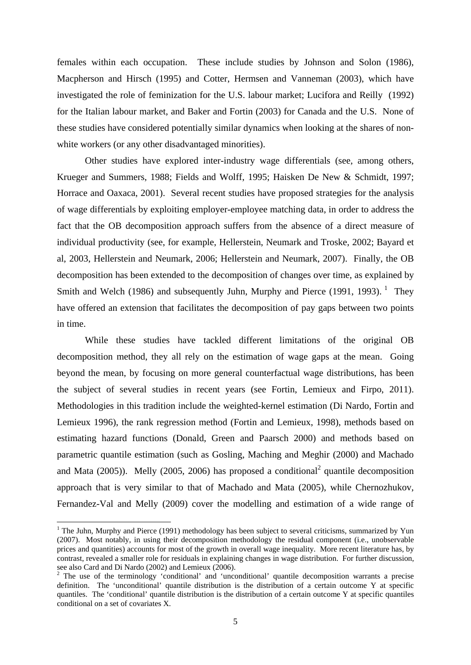females within each occupation. These include studies by Johnson and Solon (1986), Macpherson and Hirsch (1995) and Cotter, Hermsen and Vanneman (2003), which have investigated the role of feminization for the U.S. labour market; Lucifora and Reilly (1992) for the Italian labour market, and Baker and Fortin (2003) for Canada and the U.S. None of these studies have considered potentially similar dynamics when looking at the shares of nonwhite workers (or any other disadvantaged minorities).

Other studies have explored inter-industry wage differentials (see, among others, Krueger and Summers, 1988; Fields and Wolff, 1995; Haisken De New & Schmidt, 1997; Horrace and Oaxaca, 2001). Several recent studies have proposed strategies for the analysis of wage differentials by exploiting employer-employee matching data, in order to address the fact that the OB decomposition approach suffers from the absence of a direct measure of individual productivity (see, for example, Hellerstein, Neumark and Troske, 2002; Bayard et al, 2003, Hellerstein and Neumark, 2006; Hellerstein and Neumark, 2007). Finally, the OB decomposition has been extended to the decomposition of changes over time, as explained by Smith and Welch (1986) and subsequently Juhn, Murphy and Pierce (1991, 1993). <sup>1</sup> They have offered an extension that facilitates the decomposition of pay gaps between two points in time.

While these studies have tackled different limitations of the original OB decomposition method, they all rely on the estimation of wage gaps at the mean. Going beyond the mean, by focusing on more general counterfactual wage distributions, has been the subject of several studies in recent years (see Fortin, Lemieux and Firpo, 2011). Methodologies in this tradition include the weighted-kernel estimation (Di Nardo, Fortin and Lemieux 1996), the rank regression method (Fortin and Lemieux, 1998), methods based on estimating hazard functions (Donald, Green and Paarsch 2000) and methods based on parametric quantile estimation (such as Gosling, Maching and Meghir (2000) and Machado and Mata  $(2005)$ ). Melly  $(2005, 2006)$  has proposed a conditional<sup>2</sup> quantile decomposition approach that is very similar to that of Machado and Mata (2005), while Chernozhukov, Fernandez-Val and Melly (2009) cover the modelling and estimation of a wide range of

<sup>&</sup>lt;sup>1</sup> The Juhn, Murphy and Pierce (1991) methodology has been subject to several criticisms, summarized by Yun (2007). Most notably, in using their decomposition methodology the residual component (i.e., unobservable prices and quantities) accounts for most of the growth in overall wage inequality. More recent literature has, by contrast, revealed a smaller role for residuals in explaining changes in wage distribution. For further discussion, see also Card and Di Nardo (2002) and Lemieux (2006).

<sup>&</sup>lt;sup>2</sup> The use of the terminology 'conditional' and 'unconditional' quantile decomposition warrants a precise definition. The 'unconditional' quantile distribution is the distribution of a certain outcome Y at specific quantiles. The 'conditional' quantile distribution is the distribution of a certain outcome  $Y$  at specific quantiles conditional on a set of covariates X.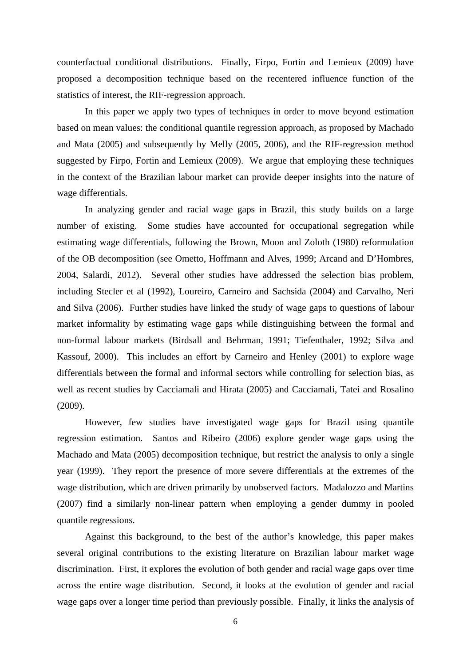counterfactual conditional distributions. Finally, Firpo, Fortin and Lemieux (2009) have proposed a decomposition technique based on the recentered influence function of the statistics of interest, the RIF-regression approach.

In this paper we apply two types of techniques in order to move beyond estimation based on mean values: the conditional quantile regression approach, as proposed by Machado and Mata (2005) and subsequently by Melly (2005, 2006), and the RIF-regression method suggested by Firpo, Fortin and Lemieux (2009). We argue that employing these techniques in the context of the Brazilian labour market can provide deeper insights into the nature of wage differentials.

In analyzing gender and racial wage gaps in Brazil, this study builds on a large number of existing. Some studies have accounted for occupational segregation while estimating wage differentials, following the Brown, Moon and Zoloth (1980) reformulation of the OB decomposition (see Ometto, Hoffmann and Alves, 1999; Arcand and D'Hombres, 2004, Salardi, 2012). Several other studies have addressed the selection bias problem, including Stecler et al (1992), Loureiro, Carneiro and Sachsida (2004) and Carvalho, Neri and Silva (2006). Further studies have linked the study of wage gaps to questions of labour market informality by estimating wage gaps while distinguishing between the formal and non-formal labour markets (Birdsall and Behrman, 1991; Tiefenthaler, 1992; Silva and Kassouf, 2000). This includes an effort by Carneiro and Henley (2001) to explore wage differentials between the formal and informal sectors while controlling for selection bias, as well as recent studies by Cacciamali and Hirata (2005) and Cacciamali, Tatei and Rosalino (2009).

However, few studies have investigated wage gaps for Brazil using quantile regression estimation. Santos and Ribeiro (2006) explore gender wage gaps using the Machado and Mata (2005) decomposition technique, but restrict the analysis to only a single year (1999). They report the presence of more severe differentials at the extremes of the wage distribution, which are driven primarily by unobserved factors. Madalozzo and Martins (2007) find a similarly non-linear pattern when employing a gender dummy in pooled quantile regressions.

Against this background, to the best of the author's knowledge, this paper makes several original contributions to the existing literature on Brazilian labour market wage discrimination. First, it explores the evolution of both gender and racial wage gaps over time across the entire wage distribution. Second, it looks at the evolution of gender and racial wage gaps over a longer time period than previously possible. Finally, it links the analysis of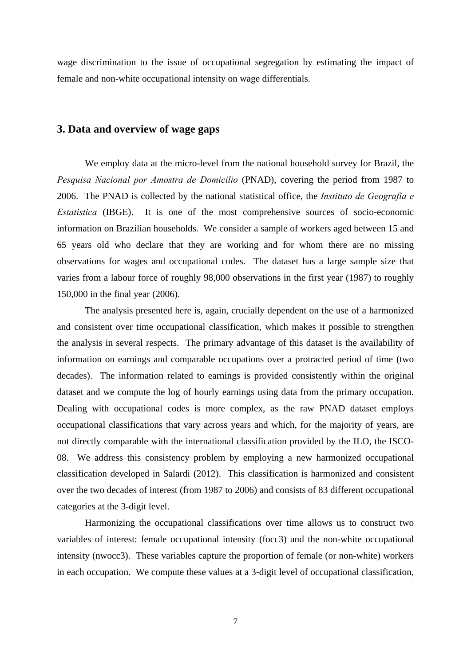wage discrimination to the issue of occupational segregation by estimating the impact of female and non-white occupational intensity on wage differentials.

### **3. Data and overview of wage gaps**

We employ data at the micro-level from the national household survey for Brazil, the *Pesquisa Nacional por Amostra de Domicilio* (PNAD), covering the period from 1987 to 2006. The PNAD is collected by the national statistical office, the *Instituto de Geografia e Estatistica* (IBGE). It is one of the most comprehensive sources of socio-economic information on Brazilian households. We consider a sample of workers aged between 15 and 65 years old who declare that they are working and for whom there are no missing observations for wages and occupational codes. The dataset has a large sample size that varies from a labour force of roughly 98,000 observations in the first year (1987) to roughly 150,000 in the final year (2006).

The analysis presented here is, again, crucially dependent on the use of a harmonized and consistent over time occupational classification, which makes it possible to strengthen the analysis in several respects. The primary advantage of this dataset is the availability of information on earnings and comparable occupations over a protracted period of time (two decades). The information related to earnings is provided consistently within the original dataset and we compute the log of hourly earnings using data from the primary occupation. Dealing with occupational codes is more complex, as the raw PNAD dataset employs occupational classifications that vary across years and which, for the majority of years, are not directly comparable with the international classification provided by the ILO, the ISCO-08. We address this consistency problem by employing a new harmonized occupational classification developed in Salardi (2012). This classification is harmonized and consistent over the two decades of interest (from 1987 to 2006) and consists of 83 different occupational categories at the 3-digit level.

Harmonizing the occupational classifications over time allows us to construct two variables of interest: female occupational intensity (focc3) and the non-white occupational intensity (nwocc3). These variables capture the proportion of female (or non-white) workers in each occupation. We compute these values at a 3-digit level of occupational classification,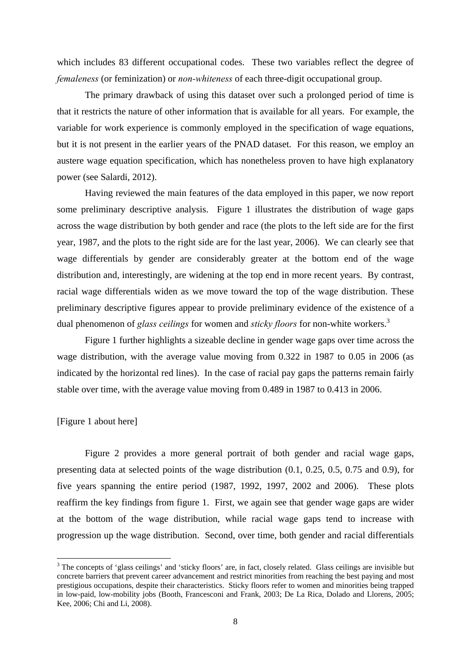which includes 83 different occupational codes. These two variables reflect the degree of *femaleness* (or feminization) or *non-whiteness* of each three-digit occupational group.

The primary drawback of using this dataset over such a prolonged period of time is that it restricts the nature of other information that is available for all years. For example, the variable for work experience is commonly employed in the specification of wage equations, but it is not present in the earlier years of the PNAD dataset. For this reason, we employ an austere wage equation specification, which has nonetheless proven to have high explanatory power (see Salardi, 2012).

Having reviewed the main features of the data employed in this paper, we now report some preliminary descriptive analysis. Figure 1 illustrates the distribution of wage gaps across the wage distribution by both gender and race (the plots to the left side are for the first year, 1987, and the plots to the right side are for the last year, 2006). We can clearly see that wage differentials by gender are considerably greater at the bottom end of the wage distribution and, interestingly, are widening at the top end in more recent years. By contrast, racial wage differentials widen as we move toward the top of the wage distribution. These preliminary descriptive figures appear to provide preliminary evidence of the existence of a dual phenomenon of *glass ceilings* for women and *sticky floors* for non-white workers.<sup>3</sup>

Figure 1 further highlights a sizeable decline in gender wage gaps over time across the wage distribution, with the average value moving from 0.322 in 1987 to 0.05 in 2006 (as indicated by the horizontal red lines). In the case of racial pay gaps the patterns remain fairly stable over time, with the average value moving from 0.489 in 1987 to 0.413 in 2006.

### [Figure 1 about here]

Figure 2 provides a more general portrait of both gender and racial wage gaps, presenting data at selected points of the wage distribution (0.1, 0.25, 0.5, 0.75 and 0.9), for five years spanning the entire period (1987, 1992, 1997, 2002 and 2006). These plots reaffirm the key findings from figure 1. First, we again see that gender wage gaps are wider at the bottom of the wage distribution, while racial wage gaps tend to increase with progression up the wage distribution. Second, over time, both gender and racial differentials

<sup>&</sup>lt;sup>3</sup> The concepts of 'glass ceilings' and 'sticky floors' are, in fact, closely related. Glass ceilings are invisible but concrete barriers that prevent career advancement and restrict minorities from reaching the best paying and most prestigious occupations, despite their characteristics. Sticky floors refer to women and minorities being trapped in low-paid, low-mobility jobs (Booth, Francesconi and Frank, 2003; De La Rica, Dolado and Llorens, 2005; Kee, 2006; Chi and Li, 2008).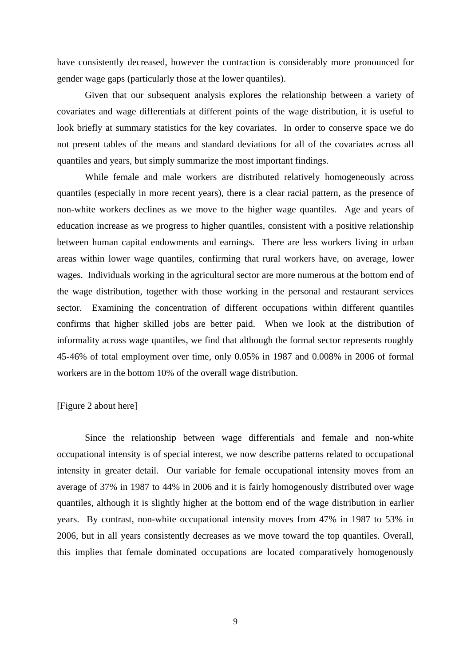have consistently decreased, however the contraction is considerably more pronounced for gender wage gaps (particularly those at the lower quantiles).

Given that our subsequent analysis explores the relationship between a variety of covariates and wage differentials at different points of the wage distribution, it is useful to look briefly at summary statistics for the key covariates. In order to conserve space we do not present tables of the means and standard deviations for all of the covariates across all quantiles and years, but simply summarize the most important findings.

While female and male workers are distributed relatively homogeneously across quantiles (especially in more recent years), there is a clear racial pattern, as the presence of non-white workers declines as we move to the higher wage quantiles. Age and years of education increase as we progress to higher quantiles, consistent with a positive relationship between human capital endowments and earnings. There are less workers living in urban areas within lower wage quantiles, confirming that rural workers have, on average, lower wages. Individuals working in the agricultural sector are more numerous at the bottom end of the wage distribution, together with those working in the personal and restaurant services sector. Examining the concentration of different occupations within different quantiles confirms that higher skilled jobs are better paid. When we look at the distribution of informality across wage quantiles, we find that although the formal sector represents roughly 45-46% of total employment over time, only 0.05% in 1987 and 0.008% in 2006 of formal workers are in the bottom 10% of the overall wage distribution.

### [Figure 2 about here]

Since the relationship between wage differentials and female and non-white occupational intensity is of special interest, we now describe patterns related to occupational intensity in greater detail. Our variable for female occupational intensity moves from an average of 37% in 1987 to 44% in 2006 and it is fairly homogenously distributed over wage quantiles, although it is slightly higher at the bottom end of the wage distribution in earlier years. By contrast, non-white occupational intensity moves from 47% in 1987 to 53% in 2006, but in all years consistently decreases as we move toward the top quantiles. Overall, this implies that female dominated occupations are located comparatively homogenously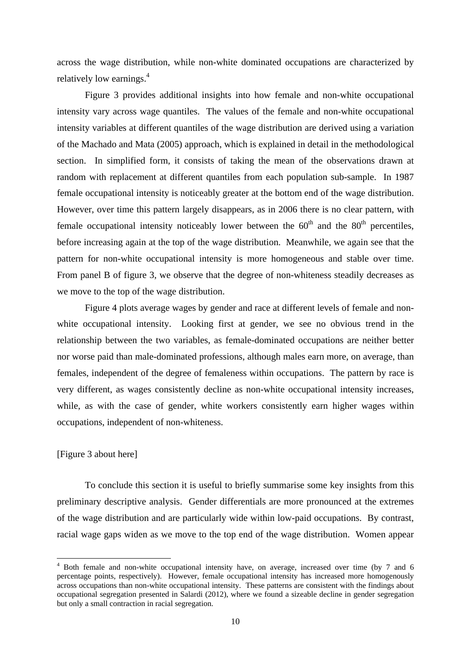across the wage distribution, while non-white dominated occupations are characterized by relatively low earnings.<sup>4</sup>

Figure 3 provides additional insights into how female and non-white occupational intensity vary across wage quantiles. The values of the female and non-white occupational intensity variables at different quantiles of the wage distribution are derived using a variation of the Machado and Mata (2005) approach, which is explained in detail in the methodological section. In simplified form, it consists of taking the mean of the observations drawn at random with replacement at different quantiles from each population sub-sample. In 1987 female occupational intensity is noticeably greater at the bottom end of the wage distribution. However, over time this pattern largely disappears, as in 2006 there is no clear pattern, with female occupational intensity noticeably lower between the  $60<sup>th</sup>$  and the  $80<sup>th</sup>$  percentiles, before increasing again at the top of the wage distribution. Meanwhile, we again see that the pattern for non-white occupational intensity is more homogeneous and stable over time. From panel B of figure 3, we observe that the degree of non-whiteness steadily decreases as we move to the top of the wage distribution.

Figure 4 plots average wages by gender and race at different levels of female and nonwhite occupational intensity. Looking first at gender, we see no obvious trend in the relationship between the two variables, as female-dominated occupations are neither better nor worse paid than male-dominated professions, although males earn more, on average, than females, independent of the degree of femaleness within occupations. The pattern by race is very different, as wages consistently decline as non-white occupational intensity increases, while, as with the case of gender, white workers consistently earn higher wages within occupations, independent of non-whiteness.

### [Figure 3 about here]

To conclude this section it is useful to briefly summarise some key insights from this preliminary descriptive analysis. Gender differentials are more pronounced at the extremes of the wage distribution and are particularly wide within low-paid occupations. By contrast, racial wage gaps widen as we move to the top end of the wage distribution. Women appear

<sup>&</sup>lt;sup>4</sup> Both female and non-white occupational intensity have, on average, increased over time (by 7 and 6 percentage points, respectively). However, female occupational intensity has increased more homogenously across occupations than non-white occupational intensity. These patterns are consistent with the findings about occupational segregation presented in Salardi (2012), where we found a sizeable decline in gender segregation but only a small contraction in racial segregation.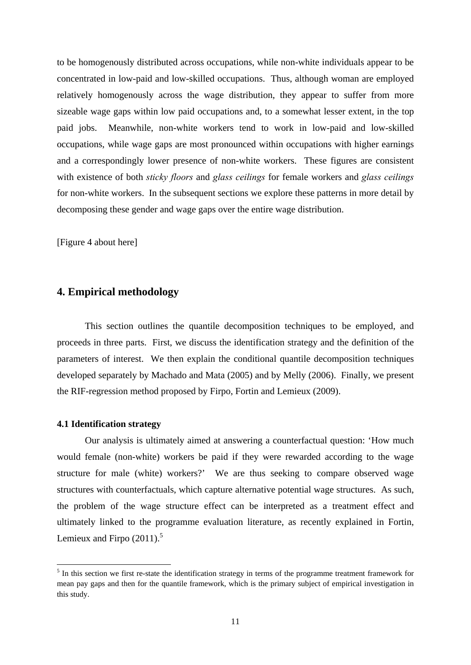to be homogenously distributed across occupations, while non-white individuals appear to be concentrated in low-paid and low-skilled occupations. Thus, although woman are employed relatively homogenously across the wage distribution, they appear to suffer from more sizeable wage gaps within low paid occupations and, to a somewhat lesser extent, in the top paid jobs. Meanwhile, non-white workers tend to work in low-paid and low-skilled occupations, while wage gaps are most pronounced within occupations with higher earnings and a correspondingly lower presence of non-white workers. These figures are consistent with existence of both *sticky floors* and *glass ceilings* for female workers and *glass ceilings* for non-white workers. In the subsequent sections we explore these patterns in more detail by decomposing these gender and wage gaps over the entire wage distribution.

[Figure 4 about here]

# **4. Empirical methodology**

This section outlines the quantile decomposition techniques to be employed, and proceeds in three parts. First, we discuss the identification strategy and the definition of the parameters of interest. We then explain the conditional quantile decomposition techniques developed separately by Machado and Mata (2005) and by Melly (2006). Finally, we present the RIF-regression method proposed by Firpo, Fortin and Lemieux (2009).

### **4.1 Identification strategy**

Our analysis is ultimately aimed at answering a counterfactual question: 'How much would female (non-white) workers be paid if they were rewarded according to the wage structure for male (white) workers?' We are thus seeking to compare observed wage structures with counterfactuals, which capture alternative potential wage structures. As such, the problem of the wage structure effect can be interpreted as a treatment effect and ultimately linked to the programme evaluation literature, as recently explained in Fortin, Lemieux and Firpo  $(2011)$ .<sup>5</sup>

 $<sup>5</sup>$  In this section we first re-state the identification strategy in terms of the programme treatment framework for</sup> mean pay gaps and then for the quantile framework, which is the primary subject of empirical investigation in this study.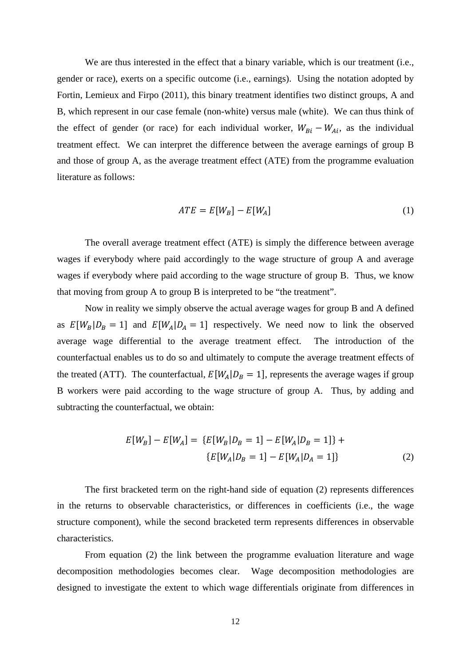We are thus interested in the effect that a binary variable, which is our treatment (i.e., gender or race), exerts on a specific outcome (i.e., earnings). Using the notation adopted by Fortin, Lemieux and Firpo (2011), this binary treatment identifies two distinct groups, A and B, which represent in our case female (non-white) versus male (white). We can thus think of the effect of gender (or race) for each individual worker,  $W_{Bi} - W_{Ai}$ , as the individual treatment effect. We can interpret the difference between the average earnings of group B and those of group A, as the average treatment effect (ATE) from the programme evaluation literature as follows:

$$
ATE = E[W_B] - E[W_A]
$$
 (1)

The overall average treatment effect (ATE) is simply the difference between average wages if everybody where paid accordingly to the wage structure of group A and average wages if everybody where paid according to the wage structure of group B. Thus, we know that moving from group A to group B is interpreted to be "the treatment".

Now in reality we simply observe the actual average wages for group B and A defined as  $E[W_B|D_B = 1]$  and  $E[W_A|D_A = 1]$  respectively. We need now to link the observed average wage differential to the average treatment effect. The introduction of the counterfactual enables us to do so and ultimately to compute the average treatment effects of the treated (ATT). The counterfactual,  $E[W_A|D_B = 1]$ , represents the average wages if group B workers were paid according to the wage structure of group A. Thus, by adding and subtracting the counterfactual, we obtain:

$$
E[W_B] - E[W_A] = \{E[W_B|D_B = 1] - E[W_A|D_B = 1]\} +
$$
  

$$
\{E[W_A|D_B = 1] - E[W_A|D_A = 1]\}
$$
 (2)

The first bracketed term on the right-hand side of equation (2) represents differences in the returns to observable characteristics, or differences in coefficients (i.e., the wage structure component), while the second bracketed term represents differences in observable characteristics.

From equation (2) the link between the programme evaluation literature and wage decomposition methodologies becomes clear. Wage decomposition methodologies are designed to investigate the extent to which wage differentials originate from differences in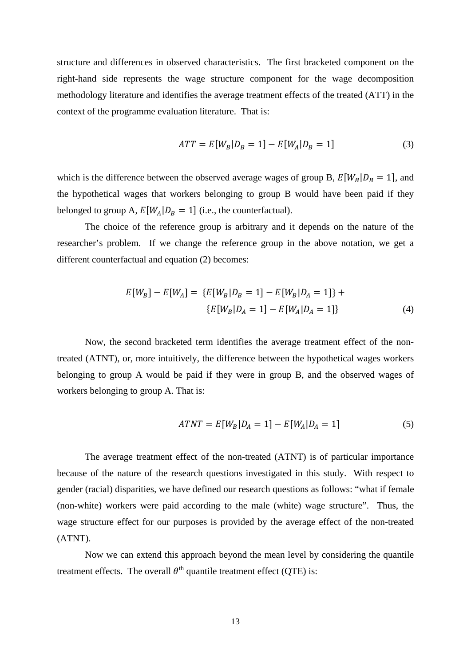structure and differences in observed characteristics. The first bracketed component on the right-hand side represents the wage structure component for the wage decomposition methodology literature and identifies the average treatment effects of the treated (ATT) in the context of the programme evaluation literature. That is:

$$
ATT = E[W_B | D_B = 1] - E[W_A | D_B = 1]
$$
\n(3)

which is the difference between the observed average wages of group B,  $E[W_B|D_B = 1]$ , and the hypothetical wages that workers belonging to group B would have been paid if they belonged to group A,  $E[W_A|D_B = 1]$  (i.e., the counterfactual).

The choice of the reference group is arbitrary and it depends on the nature of the researcher's problem. If we change the reference group in the above notation, we get a different counterfactual and equation (2) becomes:

$$
E[W_B] - E[W_A] = \{E[W_B|D_B = 1] - E[W_B|D_A = 1]\} +
$$
  

$$
\{E[W_B|D_A = 1] - E[W_A|D_A = 1]\}
$$
 (4)

Now, the second bracketed term identifies the average treatment effect of the nontreated (ATNT), or, more intuitively, the difference between the hypothetical wages workers belonging to group A would be paid if they were in group B, and the observed wages of workers belonging to group A. That is:

$$
ATNT = E[W_B|D_A = 1] - E[W_A|D_A = 1]
$$
\n(5)

The average treatment effect of the non-treated (ATNT) is of particular importance because of the nature of the research questions investigated in this study. With respect to gender (racial) disparities, we have defined our research questions as follows: "what if female (non-white) workers were paid according to the male (white) wage structure". Thus, the wage structure effect for our purposes is provided by the average effect of the non-treated (ATNT).

Now we can extend this approach beyond the mean level by considering the quantile treatment effects. The overall  $\theta^{th}$  quantile treatment effect (QTE) is: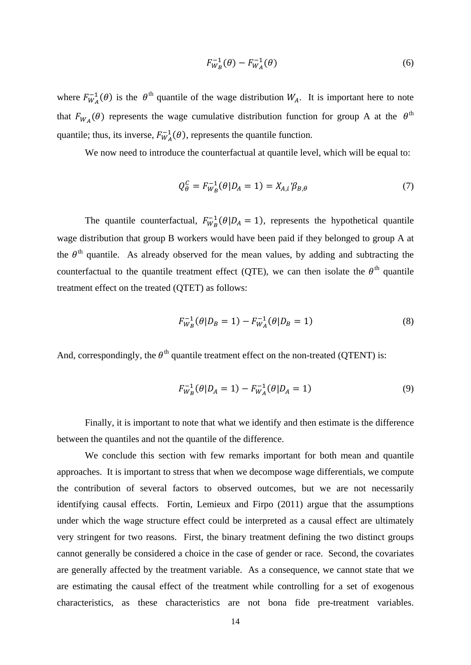$$
F_{W_B}^{-1}(\theta) - F_{W_A}^{-1}(\theta) \tag{6}
$$

where  $F_{W_A}^{-1}(\theta)$  is the  $\theta^{\text{th}}$  quantile of the wage distribution  $W_A$ . It is important here to note that  $F_{W_A}(\theta)$  represents the wage cumulative distribution function for group A at the  $\theta^{\text{th}}$ quantile; thus, its inverse,  $F_{WA}^{-1}(\theta)$ , represents the quantile function.

We now need to introduce the counterfactual at quantile level, which will be equal to:

$$
Q_{\theta}^{C} = F_{W_{B}}^{-1}(\theta | D_{A} = 1) = X_{A,i} \mathcal{B}_{B,\theta}
$$
 (7)

The quantile counterfactual,  $F_{W_B}^{-1}(\theta|D_A=1)$ , represents the hypothetical quantile wage distribution that group B workers would have been paid if they belonged to group A at the  $\theta$ <sup>th</sup> quantile. As already observed for the mean values, by adding and subtracting the counterfactual to the quantile treatment effect (QTE), we can then isolate the  $\theta^{\text{th}}$  quantile treatment effect on the treated (QTET) as follows:

$$
F_{W_B}^{-1}(\theta|D_B = 1) - F_{W_A}^{-1}(\theta|D_B = 1)
$$
\n(8)

And, correspondingly, the  $\theta^{\text{th}}$  quantile treatment effect on the non-treated (QTENT) is:

$$
F_{W_B}^{-1}(\theta|D_A = 1) - F_{W_A}^{-1}(\theta|D_A = 1)
$$
\n(9)

Finally, it is important to note that what we identify and then estimate is the difference between the quantiles and not the quantile of the difference.

We conclude this section with few remarks important for both mean and quantile approaches. It is important to stress that when we decompose wage differentials, we compute the contribution of several factors to observed outcomes, but we are not necessarily identifying causal effects. Fortin, Lemieux and Firpo (2011) argue that the assumptions under which the wage structure effect could be interpreted as a causal effect are ultimately very stringent for two reasons. First, the binary treatment defining the two distinct groups cannot generally be considered a choice in the case of gender or race. Second, the covariates are generally affected by the treatment variable. As a consequence, we cannot state that we are estimating the causal effect of the treatment while controlling for a set of exogenous characteristics, as these characteristics are not bona fide pre-treatment variables.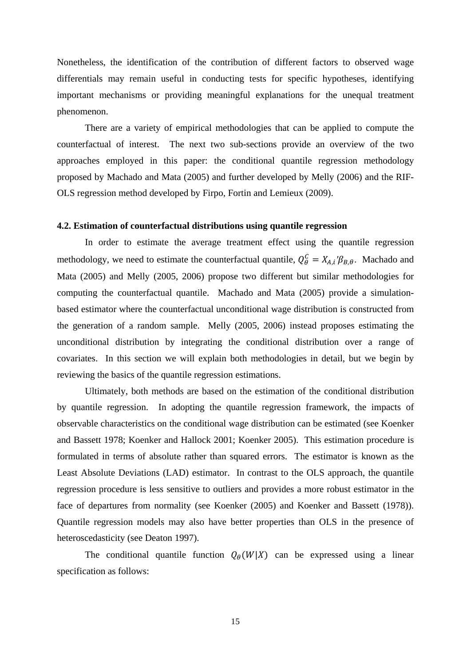Nonetheless, the identification of the contribution of different factors to observed wage differentials may remain useful in conducting tests for specific hypotheses, identifying important mechanisms or providing meaningful explanations for the unequal treatment phenomenon.

There are a variety of empirical methodologies that can be applied to compute the counterfactual of interest. The next two sub-sections provide an overview of the two approaches employed in this paper: the conditional quantile regression methodology proposed by Machado and Mata (2005) and further developed by Melly (2006) and the RIF-OLS regression method developed by Firpo, Fortin and Lemieux (2009).

### **4.2. Estimation of counterfactual distributions using quantile regression**

In order to estimate the average treatment effect using the quantile regression methodology, we need to estimate the counterfactual quantile,  $Q_{\theta}^{C} = X_{A,i} \mathcal{B}_{B,\theta}$ . Machado and Mata (2005) and Melly (2005, 2006) propose two different but similar methodologies for computing the counterfactual quantile. Machado and Mata (2005) provide a simulationbased estimator where the counterfactual unconditional wage distribution is constructed from the generation of a random sample. Melly (2005, 2006) instead proposes estimating the unconditional distribution by integrating the conditional distribution over a range of covariates. In this section we will explain both methodologies in detail, but we begin by reviewing the basics of the quantile regression estimations.

Ultimately, both methods are based on the estimation of the conditional distribution by quantile regression. In adopting the quantile regression framework, the impacts of observable characteristics on the conditional wage distribution can be estimated (see Koenker and Bassett 1978; Koenker and Hallock 2001; Koenker 2005). This estimation procedure is formulated in terms of absolute rather than squared errors. The estimator is known as the Least Absolute Deviations (LAD) estimator. In contrast to the OLS approach, the quantile regression procedure is less sensitive to outliers and provides a more robust estimator in the face of departures from normality (see Koenker (2005) and Koenker and Bassett (1978)). Quantile regression models may also have better properties than OLS in the presence of heteroscedasticity (see Deaton 1997).

The conditional quantile function  $Q_{\theta}(W|X)$  can be expressed using a linear specification as follows: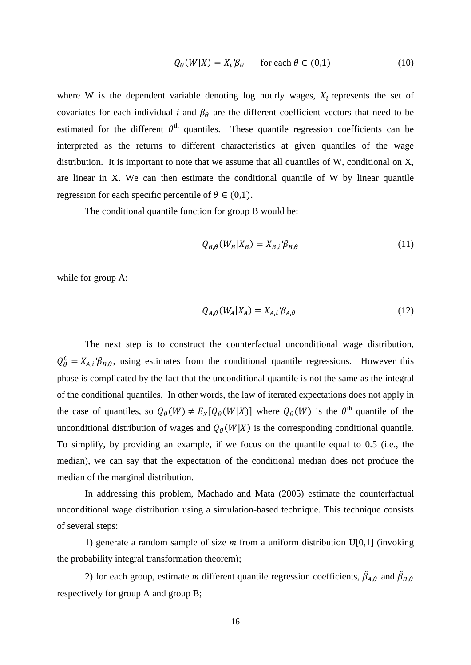$$
Q_{\theta}(W|X) = X_i' \beta_{\theta} \qquad \text{for each } \theta \in (0,1)
$$
 (10)

where W is the dependent variable denoting log hourly wages,  $X_i$  represents the set of covariates for each individual *i* and  $\beta_{\theta}$  are the different coefficient vectors that need to be estimated for the different  $\theta^{th}$  quantiles. These quantile regression coefficients can be interpreted as the returns to different characteristics at given quantiles of the wage distribution. It is important to note that we assume that all quantiles of W, conditional on X, are linear in X. We can then estimate the conditional quantile of W by linear quantile regression for each specific percentile of  $\theta \in (0,1)$ .

The conditional quantile function for group B would be:

$$
Q_{B,\theta}(W_B|X_B) = X_{B,i} \mathcal{B}_{B,\theta} \tag{11}
$$

while for group A:

$$
Q_{A,\theta}(W_A|X_A) = X_{A,i} \mathcal{B}_{A,\theta} \tag{12}
$$

The next step is to construct the counterfactual unconditional wage distribution,  $Q_{\theta}^{C} = X_{A,i}$  ' $\beta_{B,\theta}$ , using estimates from the conditional quantile regressions. However this phase is complicated by the fact that the unconditional quantile is not the same as the integral of the conditional quantiles. In other words, the law of iterated expectations does not apply in the case of quantiles, so  $Q_{\theta}(W) \neq E_X[Q_{\theta}(W|X)]$  where  $Q_{\theta}(W)$  is the  $\theta^{th}$  quantile of the unconditional distribution of wages and  $Q_{\theta}(W|X)$  is the corresponding conditional quantile. To simplify, by providing an example, if we focus on the quantile equal to 0.5 (i.e., the median), we can say that the expectation of the conditional median does not produce the median of the marginal distribution.

In addressing this problem, Machado and Mata (2005) estimate the counterfactual unconditional wage distribution using a simulation-based technique. This technique consists of several steps:

1) generate a random sample of size *m* from a uniform distribution U[0,1] (invoking the probability integral transformation theorem);

2) for each group, estimate *m* different quantile regression coefficients,  $\hat{\beta}_{A,\theta}$  and  $\hat{\beta}_{B,\theta}$ respectively for group A and group B;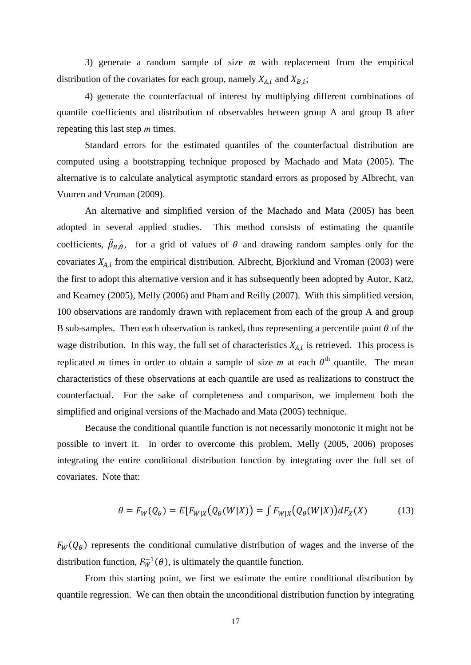3) generate a random sample of size *m* with replacement from the empirical distribution of the covariates for each group, namely  $X_{A,i}$  and  $X_{B,i}$ ;

4) generate the counterfactual of interest by multiplying different combinations of quantile coefficients and distribution of observables between group A and group B after repeating this last step *m* times.

Standard errors for the estimated quantiles of the counterfactual distribution are computed using a bootstrapping technique proposed by Machado and Mata (2005). The alternative is to calculate analytical asymptotic standard errors as proposed by Albrecht, van Vuuren and Vroman (2009).

An alternative and simplified version of the Machado and Mata (2005) has been adopted in several applied studies. This method consists of estimating the quantile coefficients,  $\hat{\beta}_{B,\theta}$ , for a grid of values of  $\theta$  and drawing random samples only for the covariates  $X_{A,i}$  from the empirical distribution. Albrecht, Bjorklund and Vroman (2003) were the first to adopt this alternative version and it has subsequently been adopted by Autor, Katz, and Kearney (2005), Melly (2006) and Pham and Reilly (2007). With this simplified version, 100 observations are randomly drawn with replacement from each of the group A and group B sub-samples. Then each observation is ranked, thus representing a percentile point  $\theta$  of the wage distribution. In this way, the full set of characteristics  $X_{A,i}$  is retrieved. This process is replicated *m* times in order to obtain a sample of size *m* at each  $\theta$ <sup>th</sup> quantile. The mean characteristics of these observations at each quantile are used as realizations to construct the counterfactual. For the sake of completeness and comparison, we implement both the simplified and original versions of the Machado and Mata (2005) technique.

Because the conditional quantile function is not necessarily monotonic it might not be possible to invert it. In order to overcome this problem, Melly (2005, 2006) proposes integrating the entire conditional distribution function by integrating over the full set of covariates. Note that:

$$
\theta = F_W(Q_\theta) = E[F_{W|X}(Q_\theta(W|X)) = \int F_{W|X}(Q_\theta(W|X))dF_X(X) \tag{13}
$$

 $F_W(Q_\theta)$  represents the conditional cumulative distribution of wages and the inverse of the distribution function,  $F_W^{-1}(\theta)$ , is ultimately the quantile function.

From this starting point, we first we estimate the entire conditional distribution by quantile regression. We can then obtain the unconditional distribution function by integrating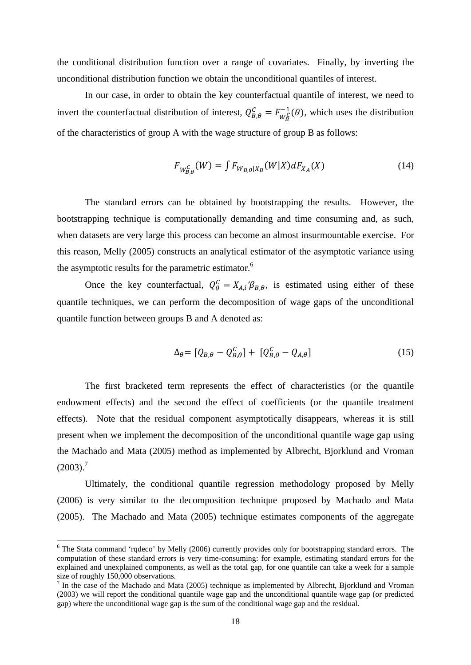the conditional distribution function over a range of covariates. Finally, by inverting the unconditional distribution function we obtain the unconditional quantiles of interest.

In our case, in order to obtain the key counterfactual quantile of interest, we need to invert the counterfactual distribution of interest,  $Q_{B,\theta}^C = F_{W_B^C}^{-1}(\theta)$ , which uses the distribution of the characteristics of group A with the wage structure of group B as follows:

$$
F_{W_{B,\theta}^C}(W) = \int F_{W_{B,\theta}|X_B}(W|X)dF_{X_A}(X) \tag{14}
$$

The standard errors can be obtained by bootstrapping the results. However, the bootstrapping technique is computationally demanding and time consuming and, as such, when datasets are very large this process can become an almost insurmountable exercise. For this reason, Melly (2005) constructs an analytical estimator of the asymptotic variance using the asymptotic results for the parametric estimator.<sup>6</sup>

Once the key counterfactual,  $Q_{\theta}^{C} = X_{A,i} \mathcal{B}_{B,\theta}$ , is estimated using either of these quantile techniques, we can perform the decomposition of wage gaps of the unconditional quantile function between groups B and A denoted as:

$$
\Delta_{\theta} = [Q_{B,\theta} - Q_{B,\theta}^C] + [Q_{B,\theta}^C - Q_{A,\theta}] \tag{15}
$$

The first bracketed term represents the effect of characteristics (or the quantile endowment effects) and the second the effect of coefficients (or the quantile treatment effects). Note that the residual component asymptotically disappears, whereas it is still present when we implement the decomposition of the unconditional quantile wage gap using the Machado and Mata (2005) method as implemented by Albrecht, Bjorklund and Vroman  $(2003).<sup>7</sup>$ 

Ultimately, the conditional quantile regression methodology proposed by Melly (2006) is very similar to the decomposition technique proposed by Machado and Mata (2005). The Machado and Mata (2005) technique estimates components of the aggregate

<sup>&</sup>lt;sup>6</sup> The Stata command 'rqdeco' by Melly (2006) currently provides only for bootstrapping standard errors. The computation of these standard errors is very time-consuming: for example, estimating standard errors for the explained and unexplained components, as well as the total gap, for one quantile can take a week for a sample size of roughly 150,000 observations.<br><sup>7</sup> In the case of the Machado and Mata (2005) technique as implemented by Albrecht, Bjorklund and Vroman

<sup>(2003)</sup> we will report the conditional quantile wage gap and the unconditional quantile wage gap (or predicted gap) where the unconditional wage gap is the sum of the conditional wage gap and the residual.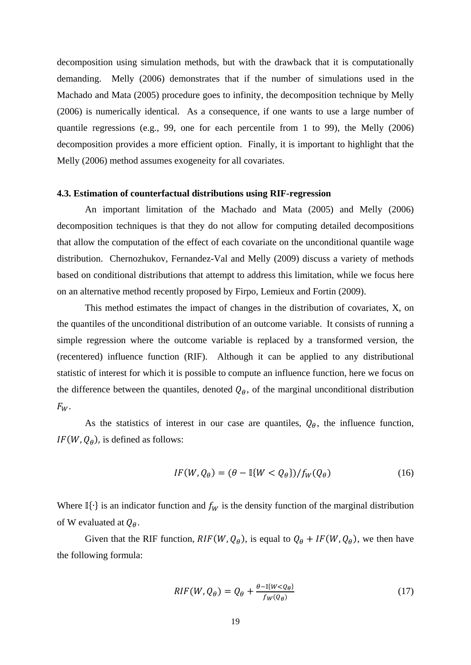decomposition using simulation methods, but with the drawback that it is computationally demanding. Melly (2006) demonstrates that if the number of simulations used in the Machado and Mata (2005) procedure goes to infinity, the decomposition technique by Melly (2006) is numerically identical. As a consequence, if one wants to use a large number of quantile regressions (e.g., 99, one for each percentile from 1 to 99), the Melly (2006) decomposition provides a more efficient option. Finally, it is important to highlight that the Melly (2006) method assumes exogeneity for all covariates.

#### **4.3. Estimation of counterfactual distributions using RIF-regression**

An important limitation of the Machado and Mata (2005) and Melly (2006) decomposition techniques is that they do not allow for computing detailed decompositions that allow the computation of the effect of each covariate on the unconditional quantile wage distribution. Chernozhukov, Fernandez-Val and Melly (2009) discuss a variety of methods based on conditional distributions that attempt to address this limitation, while we focus here on an alternative method recently proposed by Firpo, Lemieux and Fortin (2009).

This method estimates the impact of changes in the distribution of covariates, X, on the quantiles of the unconditional distribution of an outcome variable. It consists of running a simple regression where the outcome variable is replaced by a transformed version, the (recentered) influence function (RIF). Although it can be applied to any distributional statistic of interest for which it is possible to compute an influence function, here we focus on the difference between the quantiles, denoted  $Q_{\theta}$ , of the marginal unconditional distribution  $F_W$ .

As the statistics of interest in our case are quantiles,  $Q_{\theta}$ , the influence function,  $IF(W, Q_{\theta})$ , is defined as follows:

$$
IF(W, Q_{\theta}) = (\theta - \mathbb{I}\{W < Q_{\theta}\}) / f_W(Q_{\theta}) \tag{16}
$$

Where I $\{\cdot\}$  is an indicator function and  $f_W$  is the density function of the marginal distribution of W evaluated at  $Q_{\theta}$ .

Given that the RIF function,  $RIF(W, Q_{\theta})$ , is equal to  $Q_{\theta} + IF(W, Q_{\theta})$ , we then have the following formula:

$$
RIF(W, Q_{\theta}) = Q_{\theta} + \frac{\theta - \mathbb{I}\{W < Q_{\theta}\}}{f_W(Q_{\theta})} \tag{17}
$$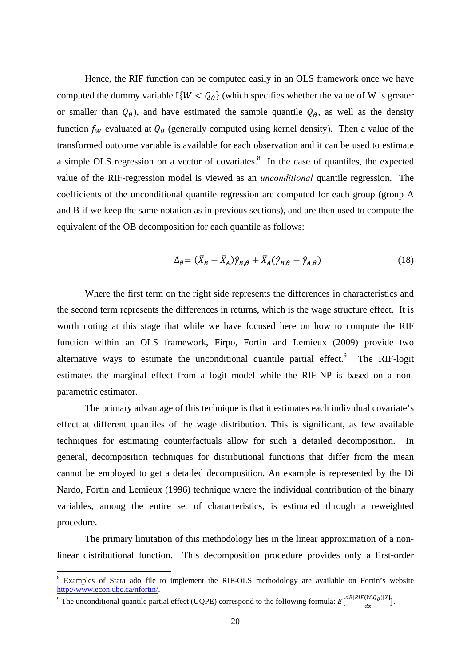Hence, the RIF function can be computed easily in an OLS framework once we have computed the dummy variable  $\mathbb{I}\{W < Q_\theta\}$  (which specifies whether the value of W is greater or smaller than  $Q_{\theta}$ ), and have estimated the sample quantile  $Q_{\theta}$ , as well as the density function  $f_W$  evaluated at  $Q_\theta$  (generally computed using kernel density). Then a value of the transformed outcome variable is available for each observation and it can be used to estimate a simple OLS regression on a vector of covariates. $8\,$  In the case of quantiles, the expected value of the RIF-regression model is viewed as an *unconditional* quantile regression. The coefficients of the unconditional quantile regression are computed for each group (group A and B if we keep the same notation as in previous sections), and are then used to compute the equivalent of the OB decomposition for each quantile as follows:

$$
\Delta_{\theta} = (\bar{X}_B - \bar{X}_A)\hat{\gamma}_{B,\theta} + \bar{X}_A(\hat{\gamma}_{B,\theta} - \hat{\gamma}_{A,\theta})
$$
\n(18)

Where the first term on the right side represents the differences in characteristics and the second term represents the differences in returns, which is the wage structure effect. It is worth noting at this stage that while we have focused here on how to compute the RIF function within an OLS framework, Firpo, Fortin and Lemieux (2009) provide two alternative ways to estimate the unconditional quantile partial effect. <sup>9</sup> The RIF-logit estimates the marginal effect from a logit model while the RIF-NP is based on a nonparametric estimator.

The primary advantage of this technique is that it estimates each individual covariate's effect at different quantiles of the wage distribution. This is significant, as few available techniques for estimating counterfactuals allow for such a detailed decomposition. In general, decomposition techniques for distributional functions that differ from the mean cannot be employed to get a detailed decomposition. An example is represented by the Di Nardo, Fortin and Lemieux (1996) technique where the individual contribution of the binary variables, among the entire set of characteristics, is estimated through a reweighted procedure.

The primary limitation of this methodology lies in the linear approximation of a nonlinear distributional function. This decomposition procedure provides only a first-order

<sup>&</sup>lt;sup>8</sup> Examples of Stata ado file to implement the RIF-OLS methodology are available on Fortin's website http://www.econ.ubc.ca/nfortin/.

<sup>&</sup>lt;sup>9</sup> The unconditional quantile partial effect (UQPE) correspond to the following formula:  $E\left[\frac{dE[RIF(W,Q_\theta)|X]}{dx}\right]$ .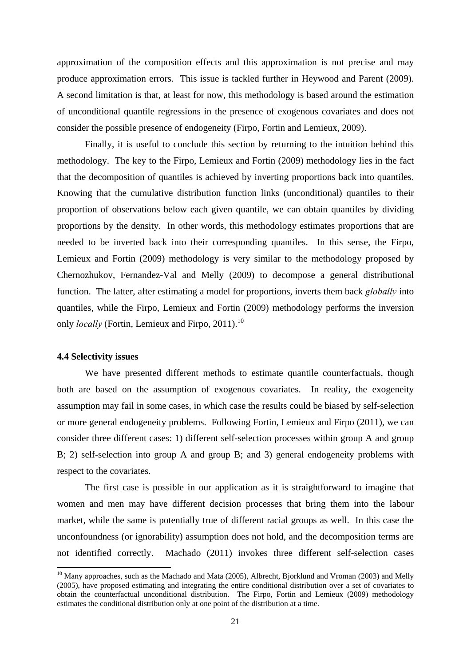approximation of the composition effects and this approximation is not precise and may produce approximation errors. This issue is tackled further in Heywood and Parent (2009). A second limitation is that, at least for now, this methodology is based around the estimation of unconditional quantile regressions in the presence of exogenous covariates and does not consider the possible presence of endogeneity (Firpo, Fortin and Lemieux, 2009).

Finally, it is useful to conclude this section by returning to the intuition behind this methodology. The key to the Firpo, Lemieux and Fortin (2009) methodology lies in the fact that the decomposition of quantiles is achieved by inverting proportions back into quantiles. Knowing that the cumulative distribution function links (unconditional) quantiles to their proportion of observations below each given quantile, we can obtain quantiles by dividing proportions by the density. In other words, this methodology estimates proportions that are needed to be inverted back into their corresponding quantiles. In this sense, the Firpo, Lemieux and Fortin (2009) methodology is very similar to the methodology proposed by Chernozhukov, Fernandez-Val and Melly (2009) to decompose a general distributional function. The latter, after estimating a model for proportions, inverts them back *globally* into quantiles, while the Firpo, Lemieux and Fortin (2009) methodology performs the inversion only *locally* (Fortin, Lemieux and Firpo, 2011).<sup>10</sup>

#### **4.4 Selectivity issues**

We have presented different methods to estimate quantile counterfactuals, though both are based on the assumption of exogenous covariates. In reality, the exogeneity assumption may fail in some cases, in which case the results could be biased by self-selection or more general endogeneity problems. Following Fortin, Lemieux and Firpo (2011), we can consider three different cases: 1) different self-selection processes within group A and group B; 2) self-selection into group A and group B; and 3) general endogeneity problems with respect to the covariates.

The first case is possible in our application as it is straightforward to imagine that women and men may have different decision processes that bring them into the labour market, while the same is potentially true of different racial groups as well. In this case the unconfoundness (or ignorability) assumption does not hold, and the decomposition terms are not identified correctly. Machado (2011) invokes three different self-selection cases

<sup>&</sup>lt;sup>10</sup> Many approaches, such as the Machado and Mata (2005), Albrecht, Bjorklund and Vroman (2003) and Melly (2005), have proposed estimating and integrating the entire conditional distribution over a set of covariates to obtain the counterfactual unconditional distribution. The Firpo, Fortin and Lemieux (2009) methodology estimates the conditional distribution only at one point of the distribution at a time.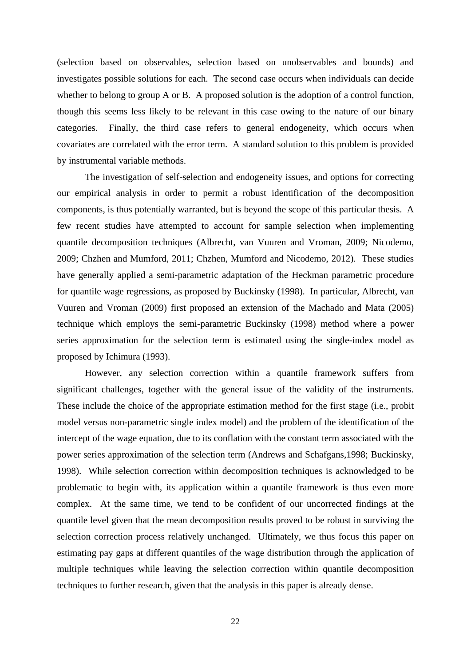(selection based on observables, selection based on unobservables and bounds) and investigates possible solutions for each. The second case occurs when individuals can decide whether to belong to group A or B. A proposed solution is the adoption of a control function, though this seems less likely to be relevant in this case owing to the nature of our binary categories. Finally, the third case refers to general endogeneity, which occurs when covariates are correlated with the error term. A standard solution to this problem is provided by instrumental variable methods.

The investigation of self-selection and endogeneity issues, and options for correcting our empirical analysis in order to permit a robust identification of the decomposition components, is thus potentially warranted, but is beyond the scope of this particular thesis. A few recent studies have attempted to account for sample selection when implementing quantile decomposition techniques (Albrecht, van Vuuren and Vroman, 2009; Nicodemo, 2009; Chzhen and Mumford, 2011; Chzhen, Mumford and Nicodemo, 2012). These studies have generally applied a semi-parametric adaptation of the Heckman parametric procedure for quantile wage regressions, as proposed by Buckinsky (1998). In particular, Albrecht, van Vuuren and Vroman (2009) first proposed an extension of the Machado and Mata (2005) technique which employs the semi-parametric Buckinsky (1998) method where a power series approximation for the selection term is estimated using the single-index model as proposed by Ichimura (1993).

However, any selection correction within a quantile framework suffers from significant challenges, together with the general issue of the validity of the instruments. These include the choice of the appropriate estimation method for the first stage (i.e., probit model versus non-parametric single index model) and the problem of the identification of the intercept of the wage equation, due to its conflation with the constant term associated with the power series approximation of the selection term (Andrews and Schafgans,1998; Buckinsky, 1998). While selection correction within decomposition techniques is acknowledged to be problematic to begin with, its application within a quantile framework is thus even more complex. At the same time, we tend to be confident of our uncorrected findings at the quantile level given that the mean decomposition results proved to be robust in surviving the selection correction process relatively unchanged. Ultimately, we thus focus this paper on estimating pay gaps at different quantiles of the wage distribution through the application of multiple techniques while leaving the selection correction within quantile decomposition techniques to further research, given that the analysis in this paper is already dense.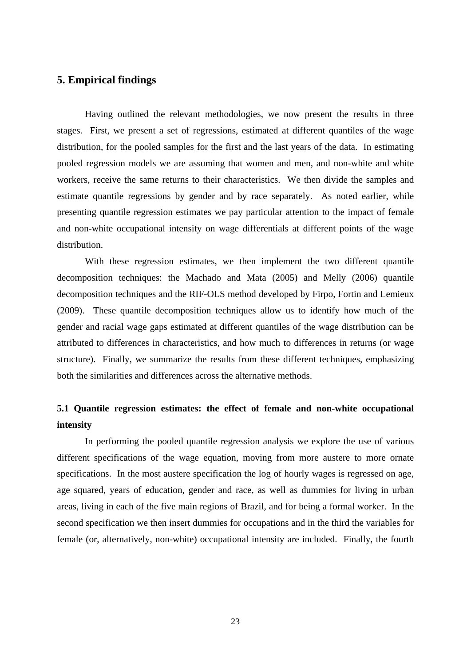# **5. Empirical findings**

Having outlined the relevant methodologies, we now present the results in three stages. First, we present a set of regressions, estimated at different quantiles of the wage distribution, for the pooled samples for the first and the last years of the data. In estimating pooled regression models we are assuming that women and men, and non-white and white workers, receive the same returns to their characteristics. We then divide the samples and estimate quantile regressions by gender and by race separately. As noted earlier, while presenting quantile regression estimates we pay particular attention to the impact of female and non-white occupational intensity on wage differentials at different points of the wage distribution.

With these regression estimates, we then implement the two different quantile decomposition techniques: the Machado and Mata (2005) and Melly (2006) quantile decomposition techniques and the RIF-OLS method developed by Firpo, Fortin and Lemieux (2009). These quantile decomposition techniques allow us to identify how much of the gender and racial wage gaps estimated at different quantiles of the wage distribution can be attributed to differences in characteristics, and how much to differences in returns (or wage structure). Finally, we summarize the results from these different techniques, emphasizing both the similarities and differences across the alternative methods.

# **5.1 Quantile regression estimates: the effect of female and non-white occupational intensity**

In performing the pooled quantile regression analysis we explore the use of various different specifications of the wage equation, moving from more austere to more ornate specifications. In the most austere specification the log of hourly wages is regressed on age, age squared, years of education, gender and race, as well as dummies for living in urban areas, living in each of the five main regions of Brazil, and for being a formal worker. In the second specification we then insert dummies for occupations and in the third the variables for female (or, alternatively, non-white) occupational intensity are included. Finally, the fourth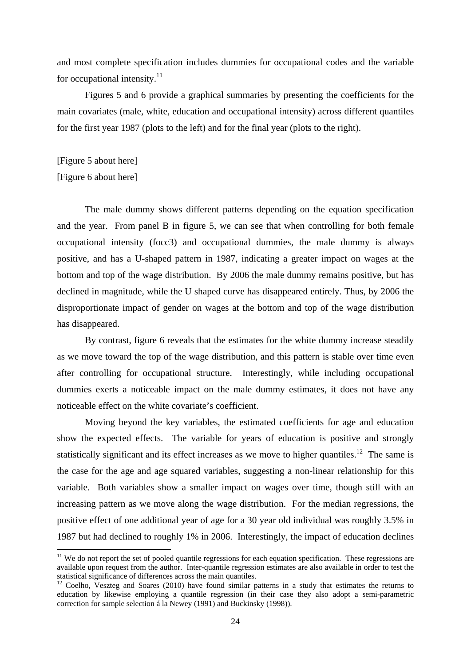and most complete specification includes dummies for occupational codes and the variable for occupational intensity. $11$ 

Figures 5 and 6 provide a graphical summaries by presenting the coefficients for the main covariates (male, white, education and occupational intensity) across different quantiles for the first year 1987 (plots to the left) and for the final year (plots to the right).

[Figure 5 about here] [Figure 6 about here]

The male dummy shows different patterns depending on the equation specification and the year. From panel B in figure 5, we can see that when controlling for both female occupational intensity (focc3) and occupational dummies, the male dummy is always positive, and has a U-shaped pattern in 1987, indicating a greater impact on wages at the bottom and top of the wage distribution. By 2006 the male dummy remains positive, but has declined in magnitude, while the U shaped curve has disappeared entirely. Thus, by 2006 the disproportionate impact of gender on wages at the bottom and top of the wage distribution has disappeared.

By contrast, figure 6 reveals that the estimates for the white dummy increase steadily as we move toward the top of the wage distribution, and this pattern is stable over time even after controlling for occupational structure. Interestingly, while including occupational dummies exerts a noticeable impact on the male dummy estimates, it does not have any noticeable effect on the white covariate's coefficient.

Moving beyond the key variables, the estimated coefficients for age and education show the expected effects. The variable for years of education is positive and strongly statistically significant and its effect increases as we move to higher quantiles.<sup>12</sup> The same is the case for the age and age squared variables, suggesting a non-linear relationship for this variable. Both variables show a smaller impact on wages over time, though still with an increasing pattern as we move along the wage distribution. For the median regressions, the positive effect of one additional year of age for a 30 year old individual was roughly 3.5% in 1987 but had declined to roughly 1% in 2006. Interestingly, the impact of education declines

 $11$  We do not report the set of pooled quantile regressions for each equation specification. These regressions are available upon request from the author. Inter-quantile regression estimates are also available in order to test the statistical significance of differences across the main quantiles.<br><sup>12</sup> Coelho, Veszteg and Soares (2010) have found similar patterns in a study that estimates the returns to

education by likewise employing a quantile regression (in their case they also adopt a semi-parametric correction for sample selection á la Newey (1991) and Buckinsky (1998)).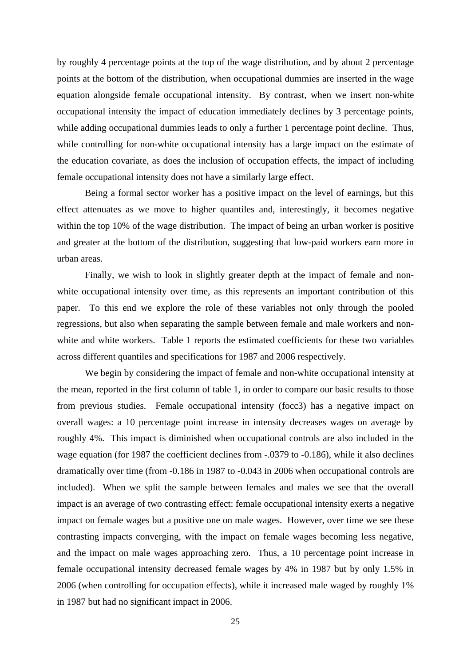by roughly 4 percentage points at the top of the wage distribution, and by about 2 percentage points at the bottom of the distribution, when occupational dummies are inserted in the wage equation alongside female occupational intensity. By contrast, when we insert non-white occupational intensity the impact of education immediately declines by 3 percentage points, while adding occupational dummies leads to only a further 1 percentage point decline. Thus, while controlling for non-white occupational intensity has a large impact on the estimate of the education covariate, as does the inclusion of occupation effects, the impact of including female occupational intensity does not have a similarly large effect.

Being a formal sector worker has a positive impact on the level of earnings, but this effect attenuates as we move to higher quantiles and, interestingly, it becomes negative within the top 10% of the wage distribution. The impact of being an urban worker is positive and greater at the bottom of the distribution, suggesting that low-paid workers earn more in urban areas.

Finally, we wish to look in slightly greater depth at the impact of female and nonwhite occupational intensity over time, as this represents an important contribution of this paper. To this end we explore the role of these variables not only through the pooled regressions, but also when separating the sample between female and male workers and nonwhite and white workers. Table 1 reports the estimated coefficients for these two variables across different quantiles and specifications for 1987 and 2006 respectively.

We begin by considering the impact of female and non-white occupational intensity at the mean, reported in the first column of table 1, in order to compare our basic results to those from previous studies. Female occupational intensity (focc3) has a negative impact on overall wages: a 10 percentage point increase in intensity decreases wages on average by roughly 4%. This impact is diminished when occupational controls are also included in the wage equation (for 1987 the coefficient declines from -.0379 to -0.186), while it also declines dramatically over time (from -0.186 in 1987 to -0.043 in 2006 when occupational controls are included). When we split the sample between females and males we see that the overall impact is an average of two contrasting effect: female occupational intensity exerts a negative impact on female wages but a positive one on male wages. However, over time we see these contrasting impacts converging, with the impact on female wages becoming less negative, and the impact on male wages approaching zero. Thus, a 10 percentage point increase in female occupational intensity decreased female wages by 4% in 1987 but by only 1.5% in 2006 (when controlling for occupation effects), while it increased male waged by roughly 1% in 1987 but had no significant impact in 2006.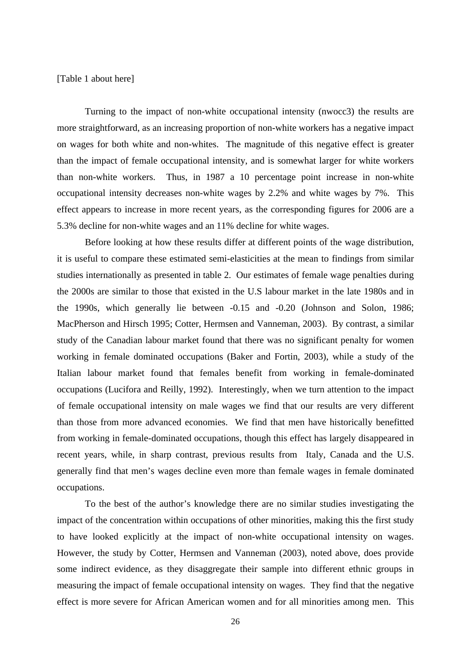[Table 1 about here]

Turning to the impact of non-white occupational intensity (nwocc3) the results are more straightforward, as an increasing proportion of non-white workers has a negative impact on wages for both white and non-whites. The magnitude of this negative effect is greater than the impact of female occupational intensity, and is somewhat larger for white workers than non-white workers. Thus, in 1987 a 10 percentage point increase in non-white occupational intensity decreases non-white wages by 2.2% and white wages by 7%. This effect appears to increase in more recent years, as the corresponding figures for 2006 are a 5.3% decline for non-white wages and an 11% decline for white wages.

Before looking at how these results differ at different points of the wage distribution, it is useful to compare these estimated semi-elasticities at the mean to findings from similar studies internationally as presented in table 2. Our estimates of female wage penalties during the 2000s are similar to those that existed in the U.S labour market in the late 1980s and in the 1990s, which generally lie between -0.15 and -0.20 (Johnson and Solon, 1986; MacPherson and Hirsch 1995; Cotter, Hermsen and Vanneman, 2003). By contrast, a similar study of the Canadian labour market found that there was no significant penalty for women working in female dominated occupations (Baker and Fortin, 2003), while a study of the Italian labour market found that females benefit from working in female-dominated occupations (Lucifora and Reilly, 1992). Interestingly, when we turn attention to the impact of female occupational intensity on male wages we find that our results are very different than those from more advanced economies. We find that men have historically benefitted from working in female-dominated occupations, though this effect has largely disappeared in recent years, while, in sharp contrast, previous results from Italy, Canada and the U.S. generally find that men's wages decline even more than female wages in female dominated occupations.

To the best of the author's knowledge there are no similar studies investigating the impact of the concentration within occupations of other minorities, making this the first study to have looked explicitly at the impact of non-white occupational intensity on wages. However, the study by Cotter, Hermsen and Vanneman (2003), noted above, does provide some indirect evidence, as they disaggregate their sample into different ethnic groups in measuring the impact of female occupational intensity on wages. They find that the negative effect is more severe for African American women and for all minorities among men. This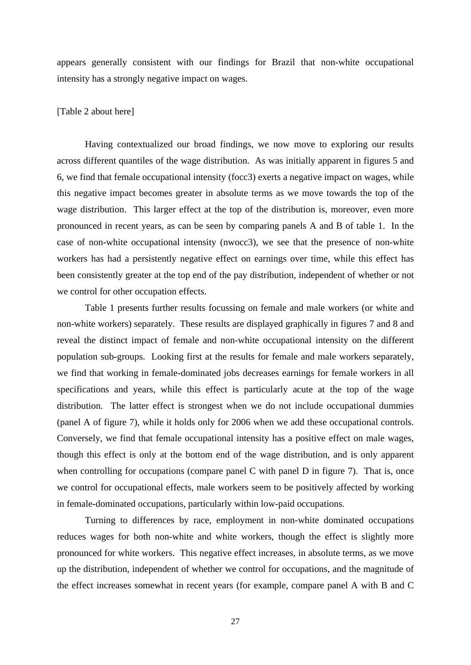appears generally consistent with our findings for Brazil that non-white occupational intensity has a strongly negative impact on wages.

### [Table 2 about here]

Having contextualized our broad findings, we now move to exploring our results across different quantiles of the wage distribution. As was initially apparent in figures 5 and 6, we find that female occupational intensity (focc3) exerts a negative impact on wages, while this negative impact becomes greater in absolute terms as we move towards the top of the wage distribution. This larger effect at the top of the distribution is, moreover, even more pronounced in recent years, as can be seen by comparing panels A and B of table 1. In the case of non-white occupational intensity (nwocc3), we see that the presence of non-white workers has had a persistently negative effect on earnings over time, while this effect has been consistently greater at the top end of the pay distribution, independent of whether or not we control for other occupation effects.

Table 1 presents further results focussing on female and male workers (or white and non-white workers) separately. These results are displayed graphically in figures 7 and 8 and reveal the distinct impact of female and non-white occupational intensity on the different population sub-groups. Looking first at the results for female and male workers separately, we find that working in female-dominated jobs decreases earnings for female workers in all specifications and years, while this effect is particularly acute at the top of the wage distribution. The latter effect is strongest when we do not include occupational dummies (panel A of figure 7), while it holds only for 2006 when we add these occupational controls. Conversely, we find that female occupational intensity has a positive effect on male wages, though this effect is only at the bottom end of the wage distribution, and is only apparent when controlling for occupations (compare panel C with panel D in figure 7). That is, once we control for occupational effects, male workers seem to be positively affected by working in female-dominated occupations, particularly within low-paid occupations.

Turning to differences by race, employment in non-white dominated occupations reduces wages for both non-white and white workers, though the effect is slightly more pronounced for white workers. This negative effect increases, in absolute terms, as we move up the distribution, independent of whether we control for occupations, and the magnitude of the effect increases somewhat in recent years (for example, compare panel A with B and C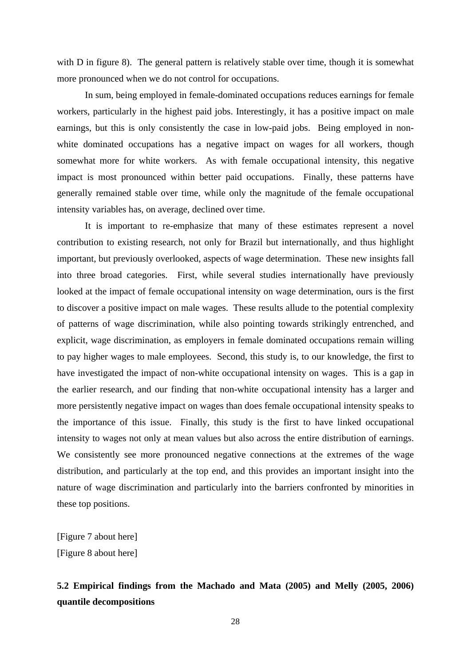with D in figure 8). The general pattern is relatively stable over time, though it is somewhat more pronounced when we do not control for occupations.

In sum, being employed in female-dominated occupations reduces earnings for female workers, particularly in the highest paid jobs. Interestingly, it has a positive impact on male earnings, but this is only consistently the case in low-paid jobs. Being employed in nonwhite dominated occupations has a negative impact on wages for all workers, though somewhat more for white workers. As with female occupational intensity, this negative impact is most pronounced within better paid occupations. Finally, these patterns have generally remained stable over time, while only the magnitude of the female occupational intensity variables has, on average, declined over time.

It is important to re-emphasize that many of these estimates represent a novel contribution to existing research, not only for Brazil but internationally, and thus highlight important, but previously overlooked, aspects of wage determination. These new insights fall into three broad categories. First, while several studies internationally have previously looked at the impact of female occupational intensity on wage determination, ours is the first to discover a positive impact on male wages. These results allude to the potential complexity of patterns of wage discrimination, while also pointing towards strikingly entrenched, and explicit, wage discrimination, as employers in female dominated occupations remain willing to pay higher wages to male employees. Second, this study is, to our knowledge, the first to have investigated the impact of non-white occupational intensity on wages. This is a gap in the earlier research, and our finding that non-white occupational intensity has a larger and more persistently negative impact on wages than does female occupational intensity speaks to the importance of this issue. Finally, this study is the first to have linked occupational intensity to wages not only at mean values but also across the entire distribution of earnings. We consistently see more pronounced negative connections at the extremes of the wage distribution, and particularly at the top end, and this provides an important insight into the nature of wage discrimination and particularly into the barriers confronted by minorities in these top positions.

[Figure 7 about here] [Figure 8 about here]

# **5.2 Empirical findings from the Machado and Mata (2005) and Melly (2005, 2006) quantile decompositions**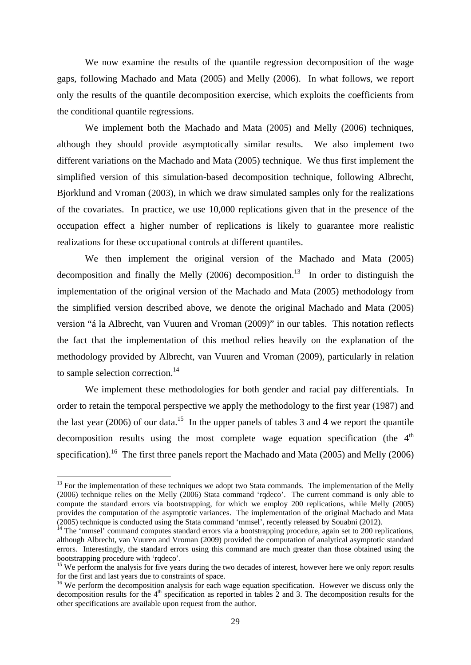We now examine the results of the quantile regression decomposition of the wage gaps, following Machado and Mata (2005) and Melly (2006). In what follows, we report only the results of the quantile decomposition exercise, which exploits the coefficients from the conditional quantile regressions.

We implement both the Machado and Mata (2005) and Melly (2006) techniques, although they should provide asymptotically similar results. We also implement two different variations on the Machado and Mata (2005) technique. We thus first implement the simplified version of this simulation-based decomposition technique, following Albrecht, Bjorklund and Vroman (2003), in which we draw simulated samples only for the realizations of the covariates. In practice, we use 10,000 replications given that in the presence of the occupation effect a higher number of replications is likely to guarantee more realistic realizations for these occupational controls at different quantiles.

We then implement the original version of the Machado and Mata (2005) decomposition and finally the Melly  $(2006)$  decomposition.<sup>13</sup> In order to distinguish the implementation of the original version of the Machado and Mata (2005) methodology from the simplified version described above, we denote the original Machado and Mata (2005) version "á la Albrecht, van Vuuren and Vroman (2009)" in our tables. This notation reflects the fact that the implementation of this method relies heavily on the explanation of the methodology provided by Albrecht, van Vuuren and Vroman (2009), particularly in relation to sample selection correction.<sup>14</sup>

We implement these methodologies for both gender and racial pay differentials. In order to retain the temporal perspective we apply the methodology to the first year (1987) and the last year (2006) of our data.<sup>15</sup> In the upper panels of tables 3 and 4 we report the quantile decomposition results using the most complete wage equation specification (the  $4<sup>th</sup>$ specification).<sup>16</sup> The first three panels report the Machado and Mata (2005) and Melly (2006)

 $13$  For the implementation of these techniques we adopt two Stata commands. The implementation of the Melly (2006) technique relies on the Melly (2006) Stata command 'rqdeco'. The current command is only able to compute the standard errors via bootstrapping, for which we employ 200 replications, while Melly (2005) provides the computation of the asymptotic variances. The implementation of the original Machado and Mata (2005) technique is conducted using the Stata command 'mmsel', recently released by Souabni (2012).

 $14$  The 'mmsel' command computes standard errors via a bootstrapping procedure, again set to 200 replications, although Albrecht, van Vuuren and Vroman (2009) provided the computation of analytical asymptotic standard errors. Interestingly, the standard errors using this command are much greater than those obtained using the bootstrapping procedure with 'rqdeco'.

 $15$  We perform the analysis for five years during the two decades of interest, however here we only report results for the first and last years due to constraints of space.

<sup>&</sup>lt;sup>16</sup> We perform the decomposition analysis for each wage equation specification. However we discuss only the decomposition results for the  $4<sup>th</sup>$  specification as reported in tables 2 and 3. The decomposition results for the other specifications are available upon request from the author.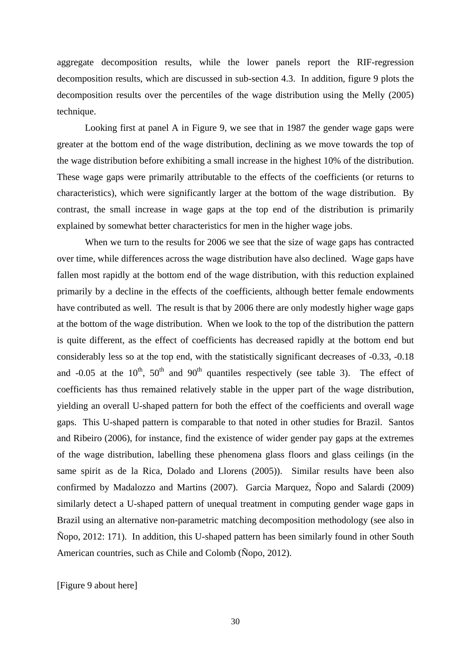aggregate decomposition results, while the lower panels report the RIF-regression decomposition results, which are discussed in sub-section 4.3. In addition, figure 9 plots the decomposition results over the percentiles of the wage distribution using the Melly (2005) technique.

Looking first at panel A in Figure 9, we see that in 1987 the gender wage gaps were greater at the bottom end of the wage distribution, declining as we move towards the top of the wage distribution before exhibiting a small increase in the highest 10% of the distribution. These wage gaps were primarily attributable to the effects of the coefficients (or returns to characteristics), which were significantly larger at the bottom of the wage distribution. By contrast, the small increase in wage gaps at the top end of the distribution is primarily explained by somewhat better characteristics for men in the higher wage jobs.

When we turn to the results for 2006 we see that the size of wage gaps has contracted over time, while differences across the wage distribution have also declined. Wage gaps have fallen most rapidly at the bottom end of the wage distribution, with this reduction explained primarily by a decline in the effects of the coefficients, although better female endowments have contributed as well. The result is that by 2006 there are only modestly higher wage gaps at the bottom of the wage distribution. When we look to the top of the distribution the pattern is quite different, as the effect of coefficients has decreased rapidly at the bottom end but considerably less so at the top end, with the statistically significant decreases of -0.33, -0.18 and  $-0.05$  at the  $10^{th}$ ,  $50^{th}$  and  $90^{th}$  quantiles respectively (see table 3). The effect of coefficients has thus remained relatively stable in the upper part of the wage distribution, yielding an overall U-shaped pattern for both the effect of the coefficients and overall wage gaps. This U-shaped pattern is comparable to that noted in other studies for Brazil. Santos and Ribeiro (2006), for instance, find the existence of wider gender pay gaps at the extremes of the wage distribution, labelling these phenomena glass floors and glass ceilings (in the same spirit as de la Rica, Dolado and Llorens (2005)). Similar results have been also confirmed by Madalozzo and Martins (2007). Garcia Marquez, Ñopo and Salardi (2009) similarly detect a U-shaped pattern of unequal treatment in computing gender wage gaps in Brazil using an alternative non-parametric matching decomposition methodology (see also in Ñopo, 2012: 171). In addition, this U-shaped pattern has been similarly found in other South American countries, such as Chile and Colomb (Ñopo, 2012).

[Figure 9 about here]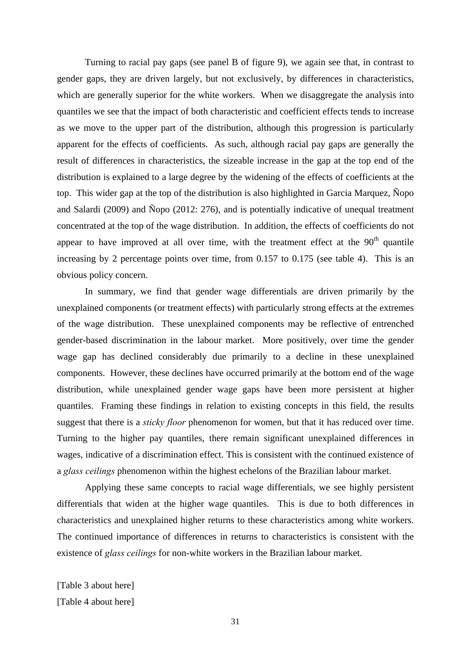Turning to racial pay gaps (see panel B of figure 9), we again see that, in contrast to gender gaps, they are driven largely, but not exclusively, by differences in characteristics, which are generally superior for the white workers. When we disaggregate the analysis into quantiles we see that the impact of both characteristic and coefficient effects tends to increase as we move to the upper part of the distribution, although this progression is particularly apparent for the effects of coefficients. As such, although racial pay gaps are generally the result of differences in characteristics, the sizeable increase in the gap at the top end of the distribution is explained to a large degree by the widening of the effects of coefficients at the top. This wider gap at the top of the distribution is also highlighted in Garcia Marquez, Ñopo and Salardi (2009) and Ñopo (2012: 276), and is potentially indicative of unequal treatment concentrated at the top of the wage distribution. In addition, the effects of coefficients do not appear to have improved at all over time, with the treatment effect at the  $90<sup>th</sup>$  quantile increasing by 2 percentage points over time, from 0.157 to 0.175 (see table 4). This is an obvious policy concern.

In summary, we find that gender wage differentials are driven primarily by the unexplained components (or treatment effects) with particularly strong effects at the extremes of the wage distribution. These unexplained components may be reflective of entrenched gender-based discrimination in the labour market. More positively, over time the gender wage gap has declined considerably due primarily to a decline in these unexplained components. However, these declines have occurred primarily at the bottom end of the wage distribution, while unexplained gender wage gaps have been more persistent at higher quantiles. Framing these findings in relation to existing concepts in this field, the results suggest that there is a *sticky floor* phenomenon for women, but that it has reduced over time. Turning to the higher pay quantiles, there remain significant unexplained differences in wages, indicative of a discrimination effect. This is consistent with the continued existence of a *glass ceilings* phenomenon within the highest echelons of the Brazilian labour market.

Applying these same concepts to racial wage differentials, we see highly persistent differentials that widen at the higher wage quantiles. This is due to both differences in characteristics and unexplained higher returns to these characteristics among white workers. The continued importance of differences in returns to characteristics is consistent with the existence of *glass ceilings* for non-white workers in the Brazilian labour market.

[Table 3 about here] [Table 4 about here]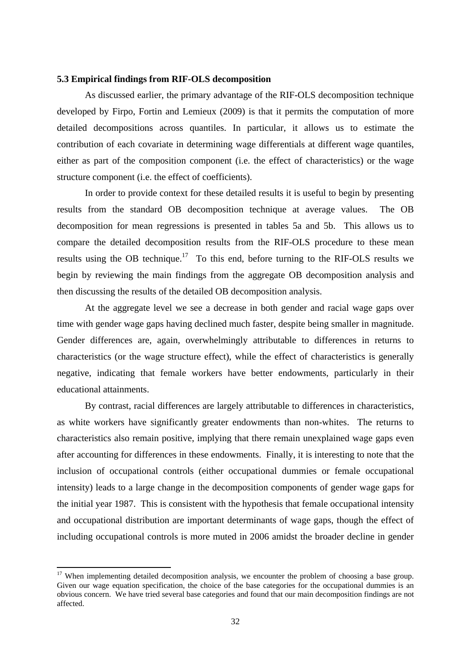### **5.3 Empirical findings from RIF-OLS decomposition**

As discussed earlier, the primary advantage of the RIF-OLS decomposition technique developed by Firpo, Fortin and Lemieux (2009) is that it permits the computation of more detailed decompositions across quantiles. In particular, it allows us to estimate the contribution of each covariate in determining wage differentials at different wage quantiles, either as part of the composition component (i.e. the effect of characteristics) or the wage structure component (i.e. the effect of coefficients).

In order to provide context for these detailed results it is useful to begin by presenting results from the standard OB decomposition technique at average values. The OB decomposition for mean regressions is presented in tables 5a and 5b. This allows us to compare the detailed decomposition results from the RIF-OLS procedure to these mean results using the OB technique.<sup>17</sup> To this end, before turning to the RIF-OLS results we begin by reviewing the main findings from the aggregate OB decomposition analysis and then discussing the results of the detailed OB decomposition analysis.

At the aggregate level we see a decrease in both gender and racial wage gaps over time with gender wage gaps having declined much faster, despite being smaller in magnitude. Gender differences are, again, overwhelmingly attributable to differences in returns to characteristics (or the wage structure effect), while the effect of characteristics is generally negative, indicating that female workers have better endowments, particularly in their educational attainments.

By contrast, racial differences are largely attributable to differences in characteristics, as white workers have significantly greater endowments than non-whites. The returns to characteristics also remain positive, implying that there remain unexplained wage gaps even after accounting for differences in these endowments. Finally, it is interesting to note that the inclusion of occupational controls (either occupational dummies or female occupational intensity) leads to a large change in the decomposition components of gender wage gaps for the initial year 1987. This is consistent with the hypothesis that female occupational intensity and occupational distribution are important determinants of wage gaps, though the effect of including occupational controls is more muted in 2006 amidst the broader decline in gender

 $17$  When implementing detailed decomposition analysis, we encounter the problem of choosing a base group. Given our wage equation specification, the choice of the base categories for the occupational dummies is an obvious concern. We have tried several base categories and found that our main decomposition findings are not affected.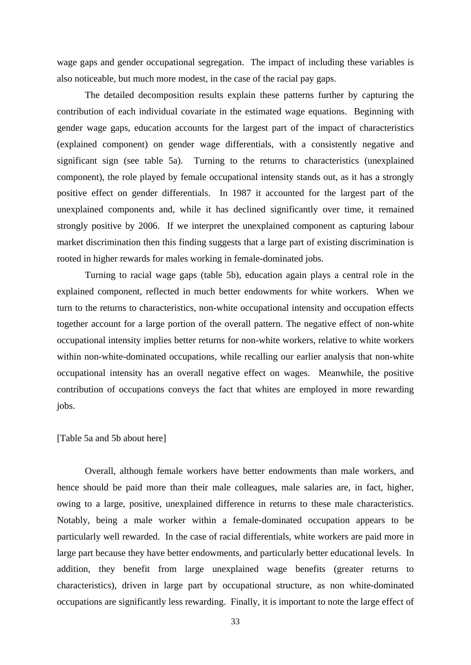wage gaps and gender occupational segregation. The impact of including these variables is also noticeable, but much more modest, in the case of the racial pay gaps.

The detailed decomposition results explain these patterns further by capturing the contribution of each individual covariate in the estimated wage equations. Beginning with gender wage gaps, education accounts for the largest part of the impact of characteristics (explained component) on gender wage differentials, with a consistently negative and significant sign (see table 5a). Turning to the returns to characteristics (unexplained component), the role played by female occupational intensity stands out, as it has a strongly positive effect on gender differentials. In 1987 it accounted for the largest part of the unexplained components and, while it has declined significantly over time, it remained strongly positive by 2006. If we interpret the unexplained component as capturing labour market discrimination then this finding suggests that a large part of existing discrimination is rooted in higher rewards for males working in female-dominated jobs.

Turning to racial wage gaps (table 5b), education again plays a central role in the explained component, reflected in much better endowments for white workers. When we turn to the returns to characteristics, non-white occupational intensity and occupation effects together account for a large portion of the overall pattern. The negative effect of non-white occupational intensity implies better returns for non-white workers, relative to white workers within non-white-dominated occupations, while recalling our earlier analysis that non-white occupational intensity has an overall negative effect on wages. Meanwhile, the positive contribution of occupations conveys the fact that whites are employed in more rewarding jobs.

### [Table 5a and 5b about here]

Overall, although female workers have better endowments than male workers, and hence should be paid more than their male colleagues, male salaries are, in fact, higher, owing to a large, positive, unexplained difference in returns to these male characteristics. Notably, being a male worker within a female-dominated occupation appears to be particularly well rewarded. In the case of racial differentials, white workers are paid more in large part because they have better endowments, and particularly better educational levels. In addition, they benefit from large unexplained wage benefits (greater returns to characteristics), driven in large part by occupational structure, as non white-dominated occupations are significantly less rewarding. Finally, it is important to note the large effect of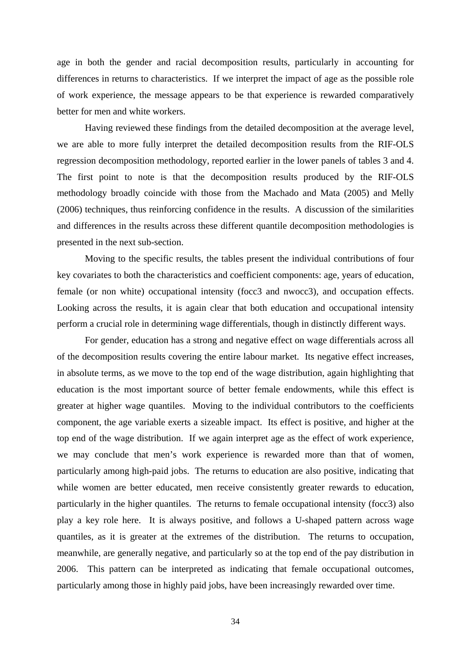age in both the gender and racial decomposition results, particularly in accounting for differences in returns to characteristics. If we interpret the impact of age as the possible role of work experience, the message appears to be that experience is rewarded comparatively better for men and white workers.

Having reviewed these findings from the detailed decomposition at the average level, we are able to more fully interpret the detailed decomposition results from the RIF-OLS regression decomposition methodology, reported earlier in the lower panels of tables 3 and 4. The first point to note is that the decomposition results produced by the RIF-OLS methodology broadly coincide with those from the Machado and Mata (2005) and Melly (2006) techniques, thus reinforcing confidence in the results. A discussion of the similarities and differences in the results across these different quantile decomposition methodologies is presented in the next sub-section.

Moving to the specific results, the tables present the individual contributions of four key covariates to both the characteristics and coefficient components: age, years of education, female (or non white) occupational intensity (focc3 and nwocc3), and occupation effects. Looking across the results, it is again clear that both education and occupational intensity perform a crucial role in determining wage differentials, though in distinctly different ways.

For gender, education has a strong and negative effect on wage differentials across all of the decomposition results covering the entire labour market. Its negative effect increases, in absolute terms, as we move to the top end of the wage distribution, again highlighting that education is the most important source of better female endowments, while this effect is greater at higher wage quantiles. Moving to the individual contributors to the coefficients component, the age variable exerts a sizeable impact. Its effect is positive, and higher at the top end of the wage distribution. If we again interpret age as the effect of work experience, we may conclude that men's work experience is rewarded more than that of women, particularly among high-paid jobs. The returns to education are also positive, indicating that while women are better educated, men receive consistently greater rewards to education, particularly in the higher quantiles. The returns to female occupational intensity (focc3) also play a key role here. It is always positive, and follows a U-shaped pattern across wage quantiles, as it is greater at the extremes of the distribution. The returns to occupation, meanwhile, are generally negative, and particularly so at the top end of the pay distribution in 2006. This pattern can be interpreted as indicating that female occupational outcomes, particularly among those in highly paid jobs, have been increasingly rewarded over time.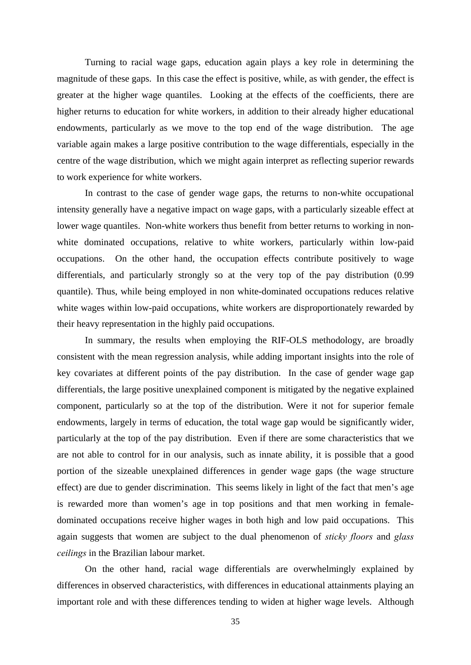Turning to racial wage gaps, education again plays a key role in determining the magnitude of these gaps. In this case the effect is positive, while, as with gender, the effect is greater at the higher wage quantiles. Looking at the effects of the coefficients, there are higher returns to education for white workers, in addition to their already higher educational endowments, particularly as we move to the top end of the wage distribution. The age variable again makes a large positive contribution to the wage differentials, especially in the centre of the wage distribution, which we might again interpret as reflecting superior rewards to work experience for white workers.

In contrast to the case of gender wage gaps, the returns to non-white occupational intensity generally have a negative impact on wage gaps, with a particularly sizeable effect at lower wage quantiles. Non-white workers thus benefit from better returns to working in nonwhite dominated occupations, relative to white workers, particularly within low-paid occupations. On the other hand, the occupation effects contribute positively to wage differentials, and particularly strongly so at the very top of the pay distribution (0.99 quantile). Thus, while being employed in non white-dominated occupations reduces relative white wages within low-paid occupations, white workers are disproportionately rewarded by their heavy representation in the highly paid occupations.

In summary, the results when employing the RIF-OLS methodology, are broadly consistent with the mean regression analysis, while adding important insights into the role of key covariates at different points of the pay distribution. In the case of gender wage gap differentials, the large positive unexplained component is mitigated by the negative explained component, particularly so at the top of the distribution. Were it not for superior female endowments, largely in terms of education, the total wage gap would be significantly wider, particularly at the top of the pay distribution. Even if there are some characteristics that we are not able to control for in our analysis, such as innate ability, it is possible that a good portion of the sizeable unexplained differences in gender wage gaps (the wage structure effect) are due to gender discrimination. This seems likely in light of the fact that men's age is rewarded more than women's age in top positions and that men working in femaledominated occupations receive higher wages in both high and low paid occupations. This again suggests that women are subject to the dual phenomenon of *sticky floors* and *glass ceilings* in the Brazilian labour market.

On the other hand, racial wage differentials are overwhelmingly explained by differences in observed characteristics, with differences in educational attainments playing an important role and with these differences tending to widen at higher wage levels. Although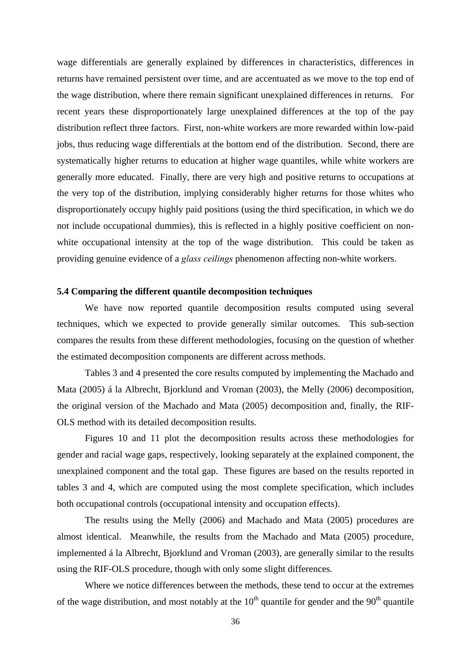wage differentials are generally explained by differences in characteristics, differences in returns have remained persistent over time, and are accentuated as we move to the top end of the wage distribution, where there remain significant unexplained differences in returns. For recent years these disproportionately large unexplained differences at the top of the pay distribution reflect three factors. First, non-white workers are more rewarded within low-paid jobs, thus reducing wage differentials at the bottom end of the distribution. Second, there are systematically higher returns to education at higher wage quantiles, while white workers are generally more educated. Finally, there are very high and positive returns to occupations at the very top of the distribution, implying considerably higher returns for those whites who disproportionately occupy highly paid positions (using the third specification, in which we do not include occupational dummies), this is reflected in a highly positive coefficient on nonwhite occupational intensity at the top of the wage distribution. This could be taken as providing genuine evidence of a *glass ceilings* phenomenon affecting non-white workers.

### **5.4 Comparing the different quantile decomposition techniques**

We have now reported quantile decomposition results computed using several techniques, which we expected to provide generally similar outcomes. This sub-section compares the results from these different methodologies, focusing on the question of whether the estimated decomposition components are different across methods.

Tables 3 and 4 presented the core results computed by implementing the Machado and Mata (2005) á la Albrecht, Bjorklund and Vroman (2003), the Melly (2006) decomposition, the original version of the Machado and Mata (2005) decomposition and, finally, the RIF-OLS method with its detailed decomposition results.

Figures 10 and 11 plot the decomposition results across these methodologies for gender and racial wage gaps, respectively, looking separately at the explained component, the unexplained component and the total gap. These figures are based on the results reported in tables 3 and 4, which are computed using the most complete specification, which includes both occupational controls (occupational intensity and occupation effects).

The results using the Melly (2006) and Machado and Mata (2005) procedures are almost identical. Meanwhile, the results from the Machado and Mata (2005) procedure, implemented á la Albrecht, Bjorklund and Vroman (2003), are generally similar to the results using the RIF-OLS procedure, though with only some slight differences.

Where we notice differences between the methods, these tend to occur at the extremes of the wage distribution, and most notably at the  $10<sup>th</sup>$  quantile for gender and the  $90<sup>th</sup>$  quantile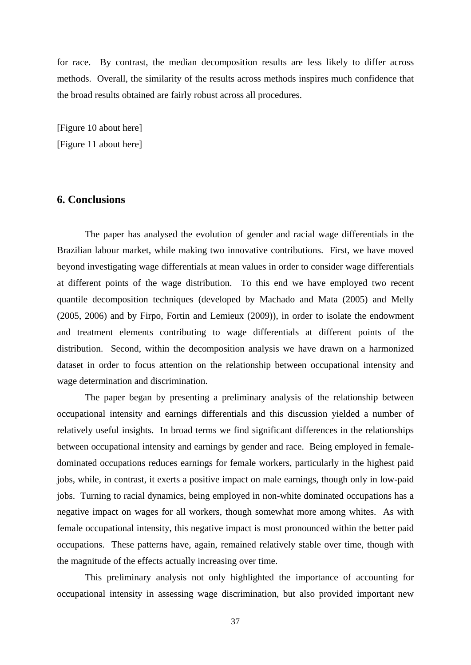for race. By contrast, the median decomposition results are less likely to differ across methods. Overall, the similarity of the results across methods inspires much confidence that the broad results obtained are fairly robust across all procedures.

[Figure 10 about here] [Figure 11 about here]

# **6. Conclusions**

The paper has analysed the evolution of gender and racial wage differentials in the Brazilian labour market, while making two innovative contributions. First, we have moved beyond investigating wage differentials at mean values in order to consider wage differentials at different points of the wage distribution. To this end we have employed two recent quantile decomposition techniques (developed by Machado and Mata (2005) and Melly (2005, 2006) and by Firpo, Fortin and Lemieux (2009)), in order to isolate the endowment and treatment elements contributing to wage differentials at different points of the distribution. Second, within the decomposition analysis we have drawn on a harmonized dataset in order to focus attention on the relationship between occupational intensity and wage determination and discrimination.

The paper began by presenting a preliminary analysis of the relationship between occupational intensity and earnings differentials and this discussion yielded a number of relatively useful insights. In broad terms we find significant differences in the relationships between occupational intensity and earnings by gender and race. Being employed in femaledominated occupations reduces earnings for female workers, particularly in the highest paid jobs, while, in contrast, it exerts a positive impact on male earnings, though only in low-paid jobs. Turning to racial dynamics, being employed in non-white dominated occupations has a negative impact on wages for all workers, though somewhat more among whites. As with female occupational intensity, this negative impact is most pronounced within the better paid occupations. These patterns have, again, remained relatively stable over time, though with the magnitude of the effects actually increasing over time.

This preliminary analysis not only highlighted the importance of accounting for occupational intensity in assessing wage discrimination, but also provided important new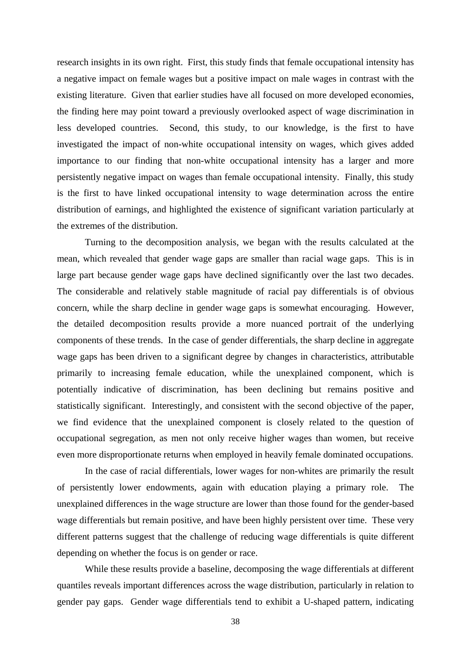research insights in its own right. First, this study finds that female occupational intensity has a negative impact on female wages but a positive impact on male wages in contrast with the existing literature. Given that earlier studies have all focused on more developed economies, the finding here may point toward a previously overlooked aspect of wage discrimination in less developed countries. Second, this study, to our knowledge, is the first to have investigated the impact of non-white occupational intensity on wages, which gives added importance to our finding that non-white occupational intensity has a larger and more persistently negative impact on wages than female occupational intensity. Finally, this study is the first to have linked occupational intensity to wage determination across the entire distribution of earnings, and highlighted the existence of significant variation particularly at the extremes of the distribution.

Turning to the decomposition analysis, we began with the results calculated at the mean, which revealed that gender wage gaps are smaller than racial wage gaps. This is in large part because gender wage gaps have declined significantly over the last two decades. The considerable and relatively stable magnitude of racial pay differentials is of obvious concern, while the sharp decline in gender wage gaps is somewhat encouraging. However, the detailed decomposition results provide a more nuanced portrait of the underlying components of these trends. In the case of gender differentials, the sharp decline in aggregate wage gaps has been driven to a significant degree by changes in characteristics, attributable primarily to increasing female education, while the unexplained component, which is potentially indicative of discrimination, has been declining but remains positive and statistically significant. Interestingly, and consistent with the second objective of the paper, we find evidence that the unexplained component is closely related to the question of occupational segregation, as men not only receive higher wages than women, but receive even more disproportionate returns when employed in heavily female dominated occupations.

In the case of racial differentials, lower wages for non-whites are primarily the result of persistently lower endowments, again with education playing a primary role. The unexplained differences in the wage structure are lower than those found for the gender-based wage differentials but remain positive, and have been highly persistent over time. These very different patterns suggest that the challenge of reducing wage differentials is quite different depending on whether the focus is on gender or race.

While these results provide a baseline, decomposing the wage differentials at different quantiles reveals important differences across the wage distribution, particularly in relation to gender pay gaps. Gender wage differentials tend to exhibit a U-shaped pattern, indicating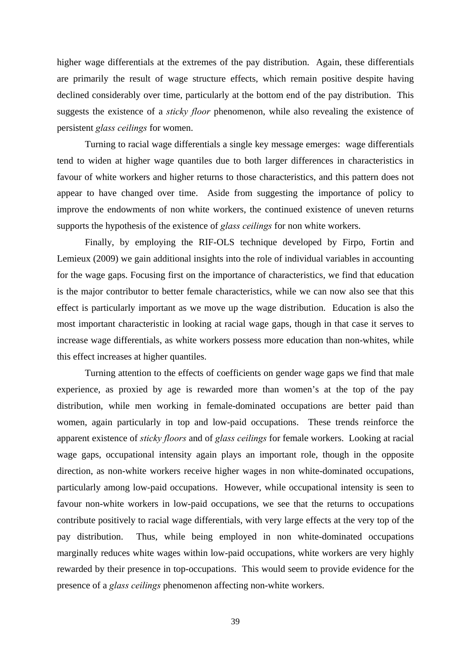higher wage differentials at the extremes of the pay distribution. Again, these differentials are primarily the result of wage structure effects, which remain positive despite having declined considerably over time, particularly at the bottom end of the pay distribution. This suggests the existence of a *sticky floor* phenomenon, while also revealing the existence of persistent *glass ceilings* for women.

Turning to racial wage differentials a single key message emerges: wage differentials tend to widen at higher wage quantiles due to both larger differences in characteristics in favour of white workers and higher returns to those characteristics, and this pattern does not appear to have changed over time. Aside from suggesting the importance of policy to improve the endowments of non white workers, the continued existence of uneven returns supports the hypothesis of the existence of *glass ceilings* for non white workers.

Finally, by employing the RIF-OLS technique developed by Firpo, Fortin and Lemieux (2009) we gain additional insights into the role of individual variables in accounting for the wage gaps. Focusing first on the importance of characteristics, we find that education is the major contributor to better female characteristics, while we can now also see that this effect is particularly important as we move up the wage distribution. Education is also the most important characteristic in looking at racial wage gaps, though in that case it serves to increase wage differentials, as white workers possess more education than non-whites, while this effect increases at higher quantiles.

Turning attention to the effects of coefficients on gender wage gaps we find that male experience, as proxied by age is rewarded more than women's at the top of the pay distribution, while men working in female-dominated occupations are better paid than women, again particularly in top and low-paid occupations. These trends reinforce the apparent existence of *sticky floors* and of *glass ceilings* for female workers. Looking at racial wage gaps, occupational intensity again plays an important role, though in the opposite direction, as non-white workers receive higher wages in non white-dominated occupations, particularly among low-paid occupations. However, while occupational intensity is seen to favour non-white workers in low-paid occupations, we see that the returns to occupations contribute positively to racial wage differentials, with very large effects at the very top of the pay distribution. Thus, while being employed in non white-dominated occupations marginally reduces white wages within low-paid occupations, white workers are very highly rewarded by their presence in top-occupations. This would seem to provide evidence for the presence of a *glass ceilings* phenomenon affecting non-white workers.

39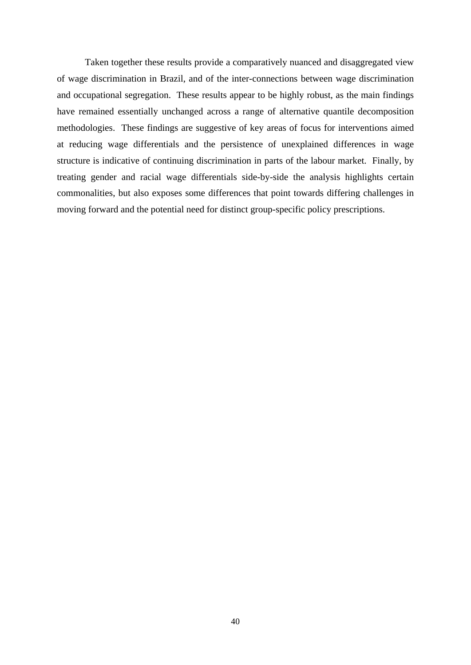Taken together these results provide a comparatively nuanced and disaggregated view of wage discrimination in Brazil, and of the inter-connections between wage discrimination and occupational segregation. These results appear to be highly robust, as the main findings have remained essentially unchanged across a range of alternative quantile decomposition methodologies. These findings are suggestive of key areas of focus for interventions aimed at reducing wage differentials and the persistence of unexplained differences in wage structure is indicative of continuing discrimination in parts of the labour market. Finally, by treating gender and racial wage differentials side-by-side the analysis highlights certain commonalities, but also exposes some differences that point towards differing challenges in moving forward and the potential need for distinct group-specific policy prescriptions.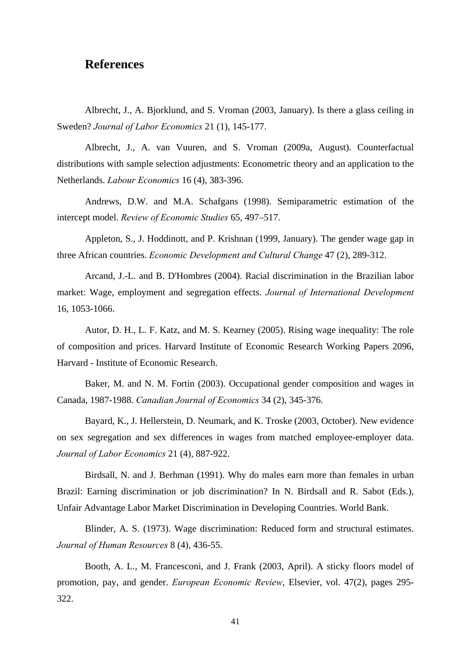# **References**

Albrecht, J., A. Bjorklund, and S. Vroman (2003, January). Is there a glass ceiling in Sweden? *Journal of Labor Economics* 21 (1), 145-177.

Albrecht, J., A. van Vuuren, and S. Vroman (2009a, August). Counterfactual distributions with sample selection adjustments: Econometric theory and an application to the Netherlands. *Labour Economics* 16 (4), 383-396.

Andrews, D.W. and M.A. Schafgans (1998). Semiparametric estimation of the intercept model. *Review of Economic Studies* 65, 497–517.

Appleton, S., J. Hoddinott, and P. Krishnan (1999, January). The gender wage gap in three African countries. *Economic Development and Cultural Change* 47 (2), 289-312.

Arcand, J.-L. and B. D'Hombres (2004). Racial discrimination in the Brazilian labor market: Wage, employment and segregation effects. *Journal of International Development* 16, 1053-1066.

Autor, D. H., L. F. Katz, and M. S. Kearney (2005). Rising wage inequality: The role of composition and prices. Harvard Institute of Economic Research Working Papers 2096, Harvard - Institute of Economic Research.

Baker, M. and N. M. Fortin (2003). Occupational gender composition and wages in Canada, 1987-1988. *Canadian Journal of Economics* 34 (2), 345-376.

Bayard, K., J. Hellerstein, D. Neumark, and K. Troske (2003, October). New evidence on sex segregation and sex differences in wages from matched employee-employer data. *Journal of Labor Economics* 21 (4), 887-922.

Birdsall, N. and J. Berhman (1991). Why do males earn more than females in urban Brazil: Earning discrimination or job discrimination? In N. Birdsall and R. Sabot (Eds.), Unfair Advantage Labor Market Discrimination in Developing Countries. World Bank.

Blinder, A. S. (1973). Wage discrimination: Reduced form and structural estimates. *Journal of Human Resources* 8 (4), 436-55.

Booth, A. L., M. Francesconi, and J. Frank (2003, April). A sticky floors model of promotion, pay, and gender. *European Economic Review*, Elsevier, vol. 47(2), pages 295- 322.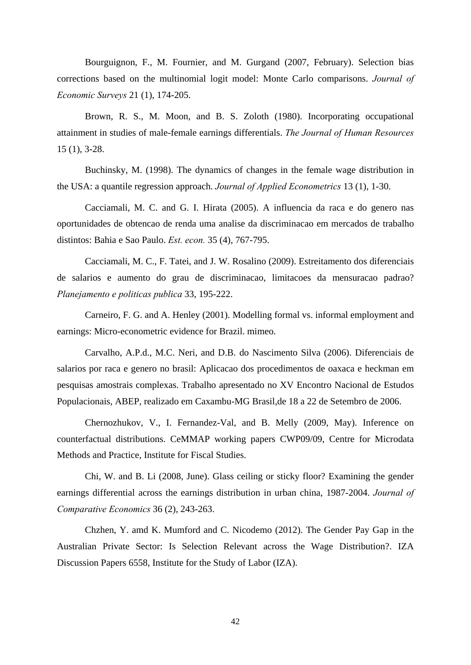Bourguignon, F., M. Fournier, and M. Gurgand (2007, February). Selection bias corrections based on the multinomial logit model: Monte Carlo comparisons. *Journal of Economic Surveys* 21 (1), 174-205.

Brown, R. S., M. Moon, and B. S. Zoloth (1980). Incorporating occupational attainment in studies of male-female earnings differentials. *The Journal of Human Resources* 15 (1), 3-28.

Buchinsky, M. (1998). The dynamics of changes in the female wage distribution in the USA: a quantile regression approach. *Journal of Applied Econometrics* 13 (1), 1-30.

Cacciamali, M. C. and G. I. Hirata (2005). A influencia da raca e do genero nas oportunidades de obtencao de renda uma analise da discriminacao em mercados de trabalho distintos: Bahia e Sao Paulo. *Est. econ.* 35 (4), 767-795.

Cacciamali, M. C., F. Tatei, and J. W. Rosalino (2009). Estreitamento dos diferenciais de salarios e aumento do grau de discriminacao, limitacoes da mensuracao padrao? *Planejamento e politicas publica* 33, 195-222.

Carneiro, F. G. and A. Henley (2001). Modelling formal vs. informal employment and earnings: Micro-econometric evidence for Brazil. mimeo.

Carvalho, A.P.d., M.C. Neri, and D.B. do Nascimento Silva (2006). Diferenciais de salarios por raca e genero no brasil: Aplicacao dos procedimentos de oaxaca e heckman em pesquisas amostrais complexas. Trabalho apresentado no XV Encontro Nacional de Estudos Populacionais, ABEP, realizado em Caxambu-MG Brasil,de 18 a 22 de Setembro de 2006.

Chernozhukov, V., I. Fernandez-Val, and B. Melly (2009, May). Inference on counterfactual distributions. CeMMAP working papers CWP09/09, Centre for Microdata Methods and Practice, Institute for Fiscal Studies.

Chi, W. and B. Li (2008, June). Glass ceiling or sticky floor? Examining the gender earnings differential across the earnings distribution in urban china, 1987-2004. *Journal of Comparative Economics* 36 (2), 243-263.

Chzhen, Y. amd K. Mumford and C. Nicodemo (2012). The Gender Pay Gap in the Australian Private Sector: Is Selection Relevant across the Wage Distribution?. IZA Discussion Papers 6558, Institute for the Study of Labor (IZA).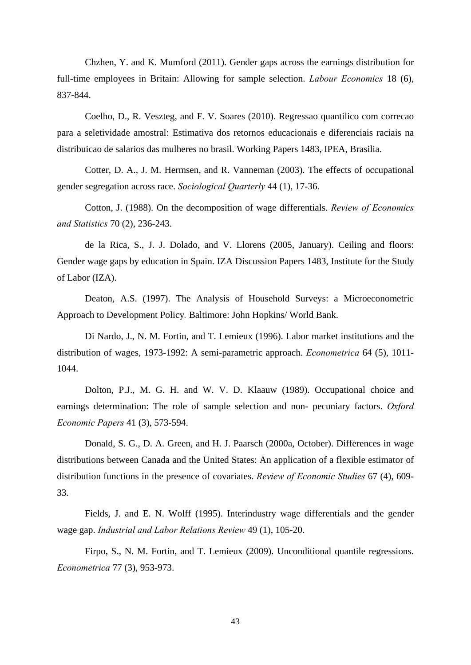Chzhen, Y. and K. Mumford (2011). Gender gaps across the earnings distribution for full-time employees in Britain: Allowing for sample selection. *Labour Economics* 18 (6), 837-844.

Coelho, D., R. Veszteg, and F. V. Soares (2010). Regressao quantilico com correcao para a seletividade amostral: Estimativa dos retornos educacionais e diferenciais raciais na distribuicao de salarios das mulheres no brasil. Working Papers 1483, IPEA, Brasilia.

Cotter, D. A., J. M. Hermsen, and R. Vanneman (2003). The effects of occupational gender segregation across race. *Sociological Quarterly* 44 (1), 17-36.

Cotton, J. (1988). On the decomposition of wage differentials. *Review of Economics and Statistics* 70 (2), 236-243.

de la Rica, S., J. J. Dolado, and V. Llorens (2005, January). Ceiling and floors: Gender wage gaps by education in Spain. IZA Discussion Papers 1483, Institute for the Study of Labor (IZA).

Deaton, A.S. (1997). The Analysis of Household Surveys: a Microeconometric Approach to Development Policy*.* Baltimore: John Hopkins/ World Bank.

Di Nardo, J., N. M. Fortin, and T. Lemieux (1996). Labor market institutions and the distribution of wages, 1973-1992: A semi-parametric approach. *Econometrica* 64 (5), 1011- 1044.

Dolton, P.J., M. G. H. and W. V. D. Klaauw (1989). Occupational choice and earnings determination: The role of sample selection and non- pecuniary factors. *Oxford Economic Papers* 41 (3), 573-594.

Donald, S. G., D. A. Green, and H. J. Paarsch (2000a, October). Differences in wage distributions between Canada and the United States: An application of a flexible estimator of distribution functions in the presence of covariates. *Review of Economic Studies* 67 (4), 609- 33.

Fields, J. and E. N. Wolff (1995). Interindustry wage differentials and the gender wage gap. *Industrial and Labor Relations Review* 49 (1), 105-20.

Firpo, S., N. M. Fortin, and T. Lemieux (2009). Unconditional quantile regressions. *Econometrica* 77 (3), 953-973.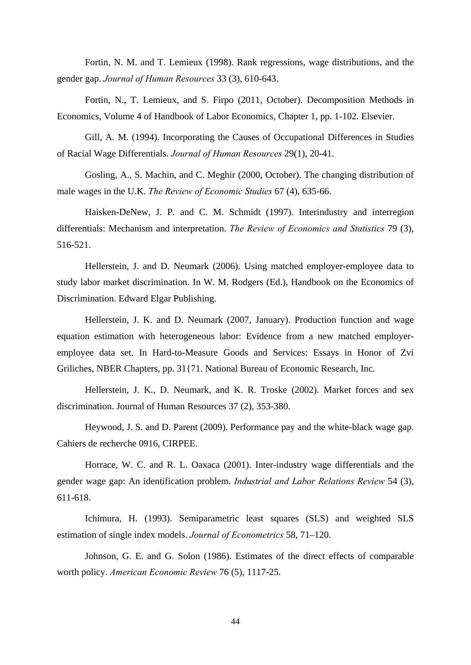Fortin, N. M. and T. Lemieux (1998). Rank regressions, wage distributions, and the gender gap. *Journal of Human Resources* 33 (3), 610-643.

Fortin, N., T. Lemieux, and S. Firpo (2011, October). Decomposition Methods in Economics, Volume 4 of Handbook of Labor Economics, Chapter 1, pp. 1-102. Elsevier.

Gill, A. M. (1994). Incorporating the Causes of Occupational Differences in Studies of Racial Wage Differentials. *Journal of Human Resources* 29(1), 20-41.

Gosling, A., S. Machin, and C. Meghir (2000, October). The changing distribution of male wages in the U.K. *The Review of Economic Studies* 67 (4), 635-66.

Haisken-DeNew, J. P. and C. M. Schmidt (1997). Interindustry and interregion differentials: Mechanism and interpretation. *The Review of Economics and Statistics* 79 (3), 516-521.

Hellerstein, J. and D. Neumark (2006). Using matched employer-employee data to study labor market discrimination. In W. M. Rodgers (Ed.), Handbook on the Economics of Discrimination. Edward Elgar Publishing.

Hellerstein, J. K. and D. Neumark (2007, January). Production function and wage equation estimation with heterogeneous labor: Evidence from a new matched employeremployee data set. In Hard-to-Measure Goods and Services: Essays in Honor of Zvi Griliches, NBER Chapters, pp. 31{71. National Bureau of Economic Research, Inc.

Hellerstein, J. K., D. Neumark, and K. R. Troske (2002). Market forces and sex discrimination. Journal of Human Resources 37 (2), 353-380.

Heywood, J. S. and D. Parent (2009). Performance pay and the white-black wage gap. Cahiers de recherche 0916, CIRPEE.

Horrace, W. C. and R. L. Oaxaca (2001). Inter-industry wage differentials and the gender wage gap: An identification problem. *Industrial and Labor Relations Review* 54 (3), 611-618.

Ichimura, H. (1993). Semiparametric least squares (SLS) and weighted SLS estimation of single index models. *Journal of Econometrics* 58, 71–120.

Johnson, G. E. and G. Solon (1986). Estimates of the direct effects of comparable worth policy. *American Economic Review* 76 (5), 1117-25.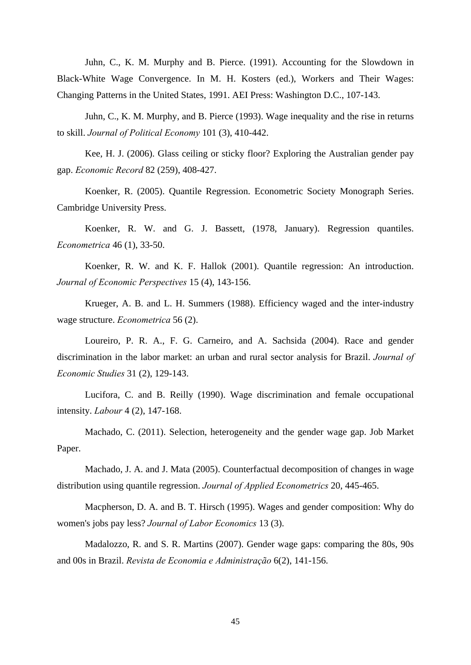Juhn, C., K. M. Murphy and B. Pierce. (1991). Accounting for the Slowdown in Black-White Wage Convergence. In M. H. Kosters (ed.), Workers and Their Wages: Changing Patterns in the United States, 1991. AEI Press: Washington D.C., 107-143.

Juhn, C., K. M. Murphy, and B. Pierce (1993). Wage inequality and the rise in returns to skill. *Journal of Political Economy* 101 (3), 410-442.

Kee, H. J. (2006). Glass ceiling or sticky floor? Exploring the Australian gender pay gap. *Economic Record* 82 (259), 408-427.

Koenker, R. (2005). Quantile Regression. Econometric Society Monograph Series. Cambridge University Press.

Koenker, R. W. and G. J. Bassett, (1978, January). Regression quantiles. *Econometrica* 46 (1), 33-50.

Koenker, R. W. and K. F. Hallok (2001). Quantile regression: An introduction. *Journal of Economic Perspectives* 15 (4), 143-156.

Krueger, A. B. and L. H. Summers (1988). Efficiency waged and the inter-industry wage structure. *Econometrica* 56 (2).

Loureiro, P. R. A., F. G. Carneiro, and A. Sachsida (2004). Race and gender discrimination in the labor market: an urban and rural sector analysis for Brazil. *Journal of Economic Studies* 31 (2), 129-143.

Lucifora, C. and B. Reilly (1990). Wage discrimination and female occupational intensity. *Labour* 4 (2), 147-168.

Machado, C. (2011). Selection, heterogeneity and the gender wage gap. Job Market Paper.

Machado, J. A. and J. Mata (2005). Counterfactual decomposition of changes in wage distribution using quantile regression. *Journal of Applied Econometrics* 20, 445-465.

Macpherson, D. A. and B. T. Hirsch (1995). Wages and gender composition: Why do women's jobs pay less? *Journal of Labor Economics* 13 (3).

Madalozzo, R. and S. R. Martins (2007). Gender wage gaps: comparing the 80s, 90s and 00s in Brazil. *Revista de Economia e Administração* 6(2), 141-156.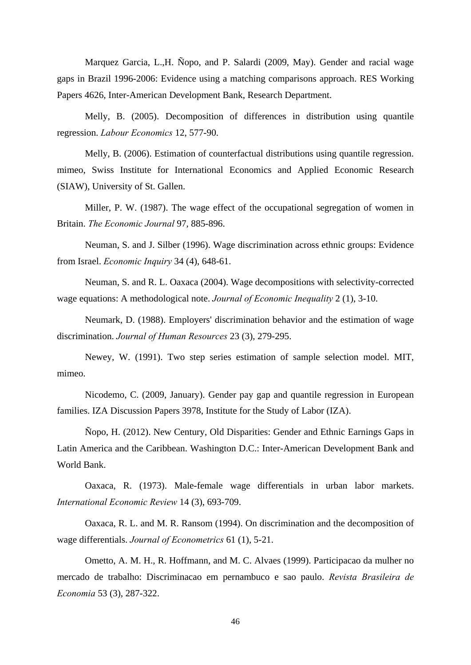Marquez Garcia, L.,H. Ñopo, and P. Salardi (2009, May). Gender and racial wage gaps in Brazil 1996-2006: Evidence using a matching comparisons approach. RES Working Papers 4626, Inter-American Development Bank, Research Department.

Melly, B. (2005). Decomposition of differences in distribution using quantile regression. *Labour Economics* 12, 577-90.

Melly, B. (2006). Estimation of counterfactual distributions using quantile regression. mimeo, Swiss Institute for International Economics and Applied Economic Research (SIAW), University of St. Gallen.

Miller, P. W. (1987). The wage effect of the occupational segregation of women in Britain. *The Economic Journal* 97, 885-896.

Neuman, S. and J. Silber (1996). Wage discrimination across ethnic groups: Evidence from Israel. *Economic Inquiry* 34 (4), 648-61.

Neuman, S. and R. L. Oaxaca (2004). Wage decompositions with selectivity-corrected wage equations: A methodological note. *Journal of Economic Inequality* 2 (1), 3-10.

Neumark, D. (1988). Employers' discrimination behavior and the estimation of wage discrimination. *Journal of Human Resources* 23 (3), 279-295.

Newey, W. (1991). Two step series estimation of sample selection model. MIT, mimeo.

Nicodemo, C. (2009, January). Gender pay gap and quantile regression in European families. IZA Discussion Papers 3978, Institute for the Study of Labor (IZA).

Ñopo, H. (2012). New Century, Old Disparities: Gender and Ethnic Earnings Gaps in Latin America and the Caribbean. Washington D.C.: Inter-American Development Bank and World Bank.

Oaxaca, R. (1973). Male-female wage differentials in urban labor markets. *International Economic Review* 14 (3), 693-709.

Oaxaca, R. L. and M. R. Ransom (1994). On discrimination and the decomposition of wage differentials. *Journal of Econometrics* 61 (1), 5-21.

Ometto, A. M. H., R. Hoffmann, and M. C. Alvaes (1999). Participacao da mulher no mercado de trabalho: Discriminacao em pernambuco e sao paulo. *Revista Brasileira de Economia* 53 (3), 287-322.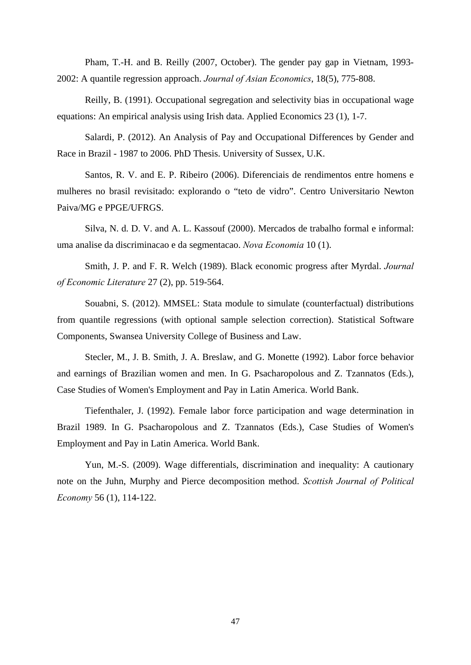Pham, T.-H. and B. Reilly (2007, October). The gender pay gap in Vietnam, 1993- 2002: A quantile regression approach. *Journal of Asian Economics*, 18(5), 775-808.

Reilly, B. (1991). Occupational segregation and selectivity bias in occupational wage equations: An empirical analysis using Irish data. Applied Economics 23 (1), 1-7.

Salardi, P. (2012). An Analysis of Pay and Occupational Differences by Gender and Race in Brazil - 1987 to 2006. PhD Thesis. University of Sussex, U.K.

Santos, R. V. and E. P. Ribeiro (2006). Diferenciais de rendimentos entre homens e mulheres no brasil revisitado: explorando o "teto de vidro". Centro Universitario Newton Paiva/MG e PPGE/UFRGS.

Silva, N. d. D. V. and A. L. Kassouf (2000). Mercados de trabalho formal e informal: uma analise da discriminacao e da segmentacao. *Nova Economia* 10 (1).

Smith, J. P. and F. R. Welch (1989). Black economic progress after Myrdal. *Journal of Economic Literature* 27 (2), pp. 519-564.

Souabni, S. (2012). MMSEL: Stata module to simulate (counterfactual) distributions from quantile regressions (with optional sample selection correction). Statistical Software Components, Swansea University College of Business and Law.

Stecler, M., J. B. Smith, J. A. Breslaw, and G. Monette (1992). Labor force behavior and earnings of Brazilian women and men. In G. Psacharopolous and Z. Tzannatos (Eds.), Case Studies of Women's Employment and Pay in Latin America. World Bank.

Tiefenthaler, J. (1992). Female labor force participation and wage determination in Brazil 1989. In G. Psacharopolous and Z. Tzannatos (Eds.), Case Studies of Women's Employment and Pay in Latin America. World Bank.

Yun, M.-S. (2009). Wage differentials, discrimination and inequality: A cautionary note on the Juhn, Murphy and Pierce decomposition method. *Scottish Journal of Political Economy* 56 (1), 114-122.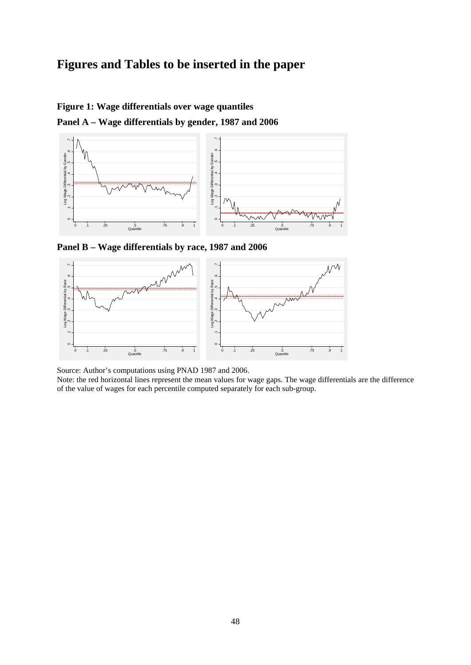# **Figures and Tables to be inserted in the paper**

### **Figure 1: Wage differentials over wage quantiles**

**Panel A – Wage differentials by gender, 1987 and 2006** 



**Panel B – Wage differentials by race, 1987 and 2006** 



Source: Author's computations using PNAD 1987 and 2006.

Note: the red horizontal lines represent the mean values for wage gaps. The wage differentials are the difference of the value of wages for each percentile computed separately for each sub-group.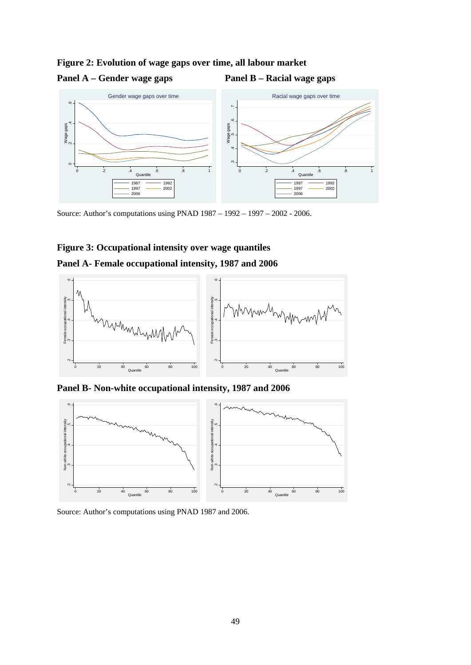### **Figure 2: Evolution of wage gaps over time, all labour market**

### Panel A – Gender wage gaps **Panel B – Racial wage gaps**



Source: Author's computations using PNAD 1987 – 1992 – 1997 – 2002 - 2006.

# **Figure 3: Occupational intensity over wage quantiles Panel A- Female occupational intensity, 1987 and 2006**



**Panel B- Non-white occupational intensity, 1987 and 2006** 



Source: Author's computations using PNAD 1987 and 2006.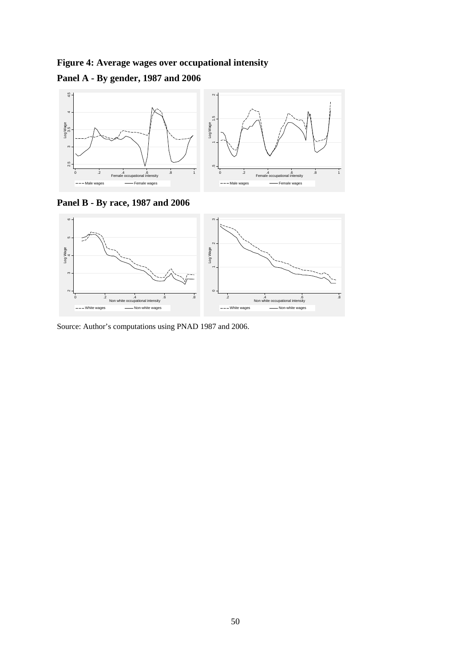**Figure 4: Average wages over occupational intensity** 

# **Panel A - By gender, 1987 and 2006**



**Panel B - By race, 1987 and 2006** 

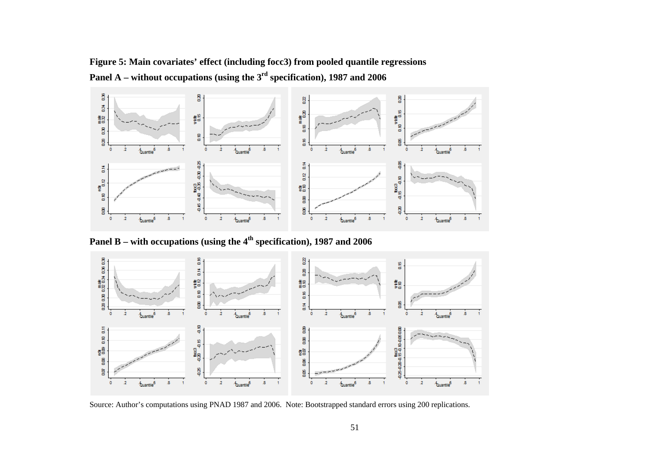# **Figure 5: Main covariates' effect (including focc3) from pooled quantile regressions Panel A – without occupations (using the 3rd specification), 1987 and 2006**



**Panel B – with occupations (using the 4th specification), 1987 and 2006** 



Source: Author's computations using PNAD 1987 and 2006. Note: Bootstrapped standard errors using 200 replications.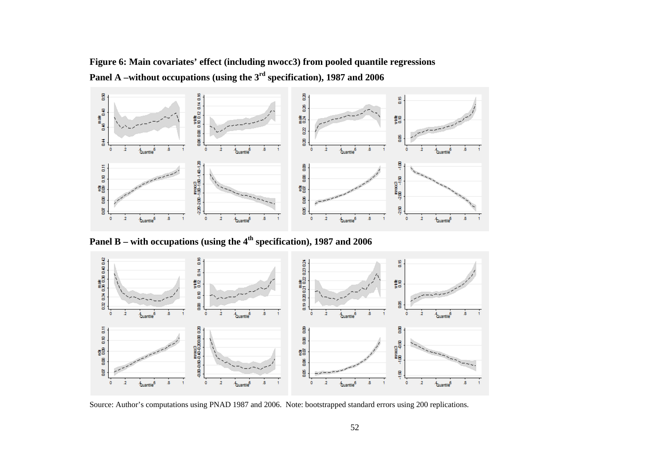**Figure 6: Main covariates' effect (including nwocc3) from pooled quantile regressions Panel A –without occupations (using the 3rd specification), 1987 and 2006** 



**Panel B – with occupations (using the 4th specification), 1987 and 2006** 



Source: Author's computations using PNAD 1987 and 2006. Note: bootstrapped standard errors using 200 replications.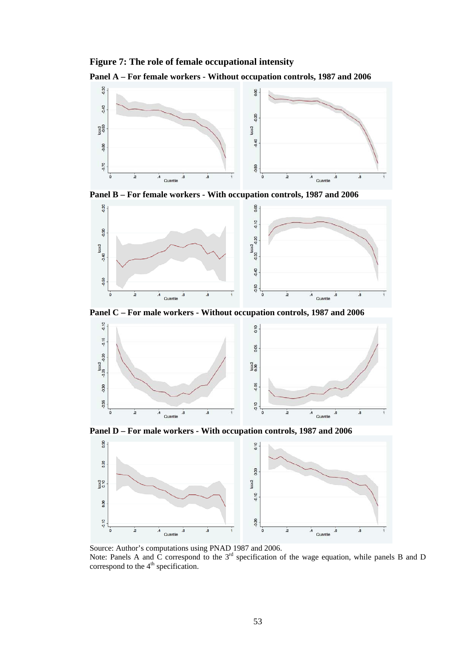### **Figure 7: The role of female occupational intensity**











Note: Panels A and C correspond to the 3<sup>rd</sup> specification of the wage equation, while panels B and D correspond to the  $4<sup>th</sup>$  specification.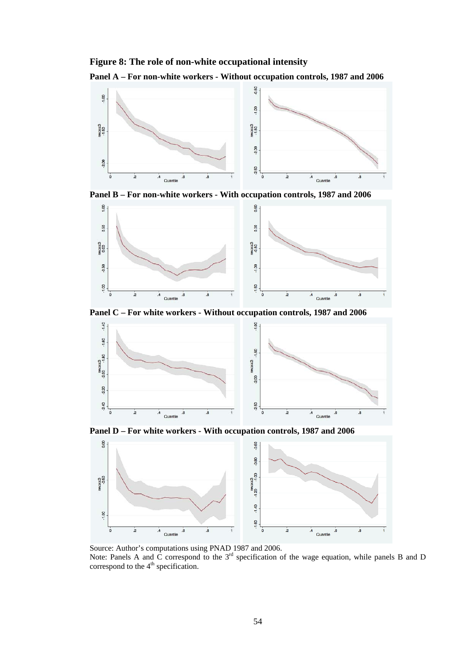### **Figure 8: The role of non-white occupational intensity**











Note: Panels A and C correspond to the 3<sup>rd</sup> specification of the wage equation, while panels B and D correspond to the  $4<sup>th</sup>$  specification.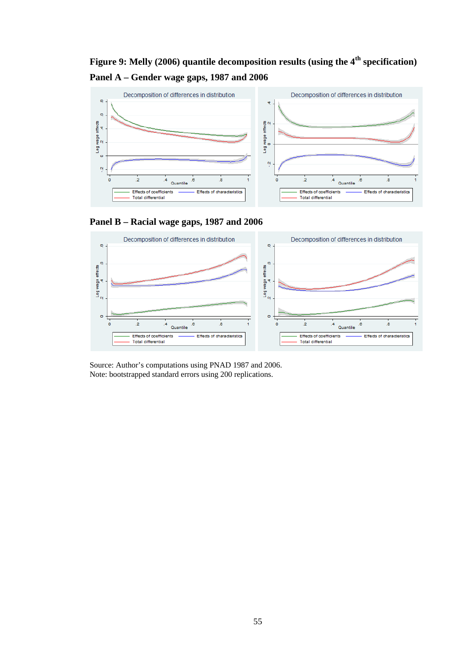# **Figure 9: Melly (2006) quantile decomposition results (using the 4th specification) Panel A – Gender wage gaps, 1987 and 2006**







Source: Author's computations using PNAD 1987 and 2006. Note: bootstrapped standard errors using 200 replications.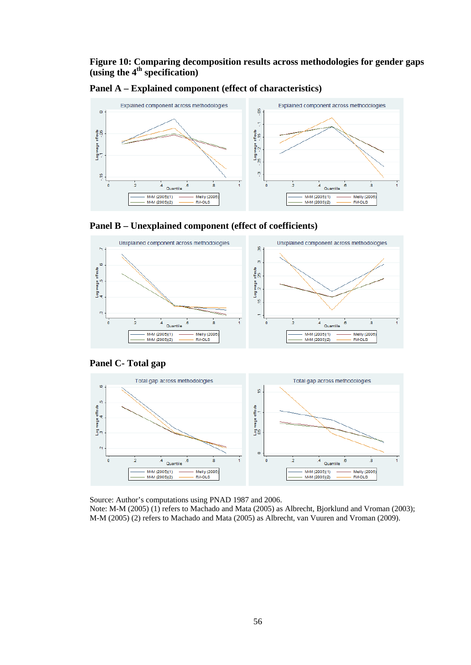### **Figure 10: Comparing decomposition results across methodologies for gender gaps (using the 4th specification)**



**Panel A – Explained component (effect of characteristics)** 





### **Panel C- Total gap**



Source: Author's computations using PNAD 1987 and 2006.

Note: M-M (2005) (1) refers to Machado and Mata (2005) as Albrecht, Bjorklund and Vroman (2003); M-M (2005) (2) refers to Machado and Mata (2005) as Albrecht, van Vuuren and Vroman (2009).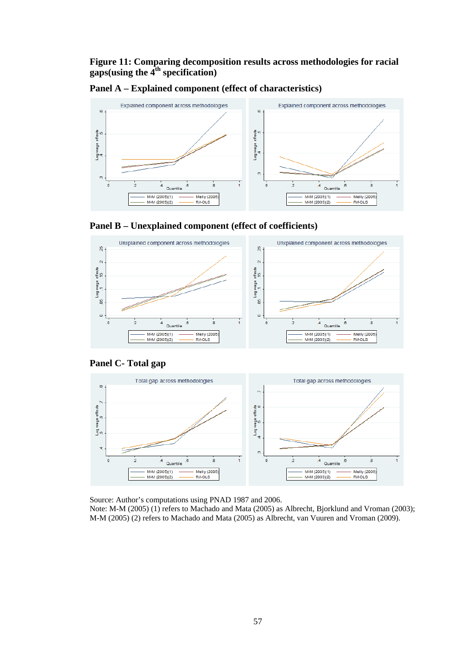## **Figure 11: Comparing decomposition results across methodologies for racial gaps(using the 4th specification)**



**Panel A – Explained component (effect of characteristics)** 





### **Panel C- Total gap**



Source: Author's computations using PNAD 1987 and 2006.

Note: M-M (2005) (1) refers to Machado and Mata (2005) as Albrecht, Bjorklund and Vroman (2003); M-M (2005) (2) refers to Machado and Mata (2005) as Albrecht, van Vuuren and Vroman (2009).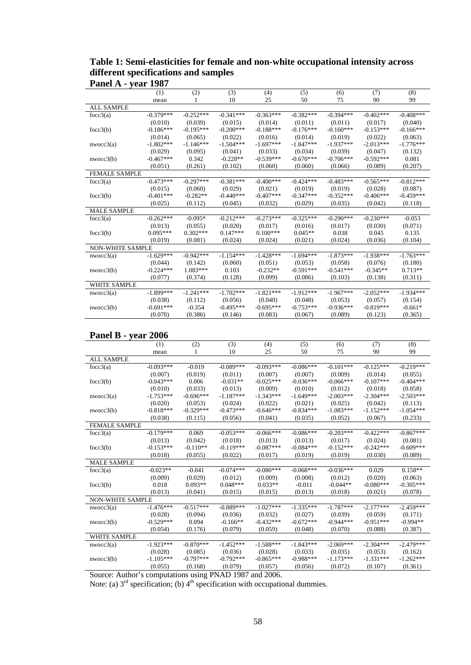# **Table 1: Semi-elasticities for female and non-white occupational intensity across different specifications and samples Panel A - year 1987**

|                      | (1)         | (2)         | (3)         | (4)         | (5)         | (6)         | (7)         | (8)         |
|----------------------|-------------|-------------|-------------|-------------|-------------|-------------|-------------|-------------|
|                      | mean        |             | 10          | 25          | 50          | 75          | 90          | 99          |
| <b>ALL SAMPLE</b>    |             |             |             |             |             |             |             |             |
| focc $3(a)$          | $-0.379***$ | $-0.252***$ | $-0.341***$ | $-0.363***$ | $-0.382***$ | $-0.394***$ | $-0.402***$ | $-0.408***$ |
|                      | (0.010)     | (0.039)     | (0.015)     | (0.014)     | (0.011)     | (0.011)     | (0.017)     | (0.040)     |
| focc3(b)             | $-0.186***$ | $-0.195***$ | $-0.200***$ | $-0.188***$ | $-0.176***$ | $-0.160***$ | $-0.153***$ | $-0.166***$ |
|                      | (0.014)     | (0.065)     | (0.022)     | (0.016)     | (0.014)     | (0.019)     | (0.022)     | (0.063)     |
| nwocc3(a)            | $-1.802***$ | $-1.146***$ | $-1.504***$ | $-1.697***$ | $-1.847***$ | $-1.937***$ | $-2.013***$ | $-1.776***$ |
|                      | (0.029)     | (0.095)     | (0.041)     | (0.033)     | (0.034)     | (0.039)     | (0.047)     | (0.132)     |
| nwocc3(b)            | $-0.467***$ | 0.342       | $-0.228**$  | $-0.539***$ | $-0.670***$ | $-0.706***$ | $-0.592***$ | 0.081       |
|                      | (0.051)     | (0.261)     | (0.102)     | (0.060)     | (0.060)     | (0.066)     | (0.089)     | (0.207)     |
| <b>FEMALE SAMPLE</b> |             |             |             |             |             |             |             |             |
| focc $3(a)$          | $-0.473***$ | $-0.297***$ | $-0.381***$ | $-0.400***$ | $-0.424***$ | $-0.483***$ | $-0.565***$ | $-0.812***$ |
|                      | (0.015)     | (0.060)     | (0.029)     | (0.021)     | (0.019)     | (0.019)     | (0.028)     | (0.087)     |
| focc3(b)             | $-0.401***$ | $-0.282**$  | $-0.440***$ | $-0.407***$ | $-0.347***$ | $-0.352***$ | $-0.406***$ | $-0.459***$ |
|                      | (0.025)     | (0.112)     | (0.045)     | (0.032)     | (0.029)     | (0.035)     | (0.042)     | (0.118)     |
| <b>MALE SAMPLE</b>   |             |             |             |             |             |             |             |             |
| focc $3(a)$          | $-0.262***$ | $-0.095*$   | $-0.212***$ | $-0.273***$ | $-0.325***$ | $-0.290***$ | $-0.230***$ | $-0.053$    |
|                      | (0.013)     | (0.055)     | (0.020)     | (0.017)     | (0.016)     | (0.017)     | (0.030)     | (0.071)     |
| focc3(b)             | $0.095***$  | $0.302***$  | $0.147***$  | $0.100***$  | $0.045**$   | 0.038       | 0.045       | 0.135       |
|                      | (0.019)     | (0.081)     | (0.024)     | (0.024)     | (0.021)     | (0.024)     | (0.036)     | (0.104)     |
| NON-WHITE SAMPLE     |             |             |             |             |             |             |             |             |
| nwocc3(a)            | $-1.629***$ | $-0.942***$ | $-1.154***$ | $-1.428***$ | $-1.694***$ | $-1.873***$ | $-1.938***$ | $-1.763***$ |
|                      | (0.044)     | (0.142)     | (0.060)     | (0.051)     | (0.053)     | (0.058)     | (0.076)     | (0.180)     |
| nwocc3(b)            | $-0.224***$ | $1.083***$  | 0.103       | $-0.232**$  | $-0.591***$ | $-0.541***$ | $-0.345**$  | $0.713**$   |
|                      | (0.077)     | (0.374)     | (0.128)     | (0.099)     | (0.086)     | (0.103)     | (0.138)     | (0.311)     |
| <b>WHITE SAMPLE</b>  |             |             |             |             |             |             |             |             |
| nwocc3(a)            | $-1.899***$ | $-1.241***$ | $-1.702***$ | $-1.821***$ | $-1.912***$ | $-1.967***$ | $-2.052***$ | $-1.934***$ |
|                      | (0.038)     | (0.112)     | (0.056)     | (0.040)     | (0.048)     | (0.053)     | (0.057)     | (0.154)     |
| nwocc3(b)            | $-0.691***$ | $-0.354$    | $-0.495***$ | $-0.695***$ | $-0.753***$ | $-0.936***$ | $-0.819***$ | $-0.661*$   |
|                      | (0.070)     | (0.386)     | (0.146)     | (0.083)     | (0.067)     | (0.089)     | (0.123)     | (0.365)     |

# **Panel B - year 2006**

|                         | (1)         | (2)         | (3)         | (4)         | (5)         | (6)         | (7)         | (8)         |
|-------------------------|-------------|-------------|-------------|-------------|-------------|-------------|-------------|-------------|
|                         | mean        |             | 10          | 25          | 50          | 75          | 90          | 99          |
| <b>ALL SAMPLE</b>       |             |             |             |             |             |             |             |             |
| focc3(a)                | $-0.093***$ | $-0.019$    | $-0.089***$ | $-0.093***$ | $-0.086***$ | $-0.101***$ | $-0.125***$ | $-0.219***$ |
|                         | (0.007)     | (0.019)     | (0.011)     | (0.007)     | (0.007)     | (0.009)     | (0.014)     | (0.055)     |
| focc3(b)                | $-0.043***$ | 0.006       | $-0.031**$  | $-0.025***$ | $-0.036***$ | $-0.066***$ | $-0.107***$ | $-0.404***$ |
|                         | (0.010)     | (0.033)     | (0.013)     | (0.009)     | (0.010)     | (0.012)     | (0.018)     | (0.058)     |
| nwocc3(a)               | $-1.753***$ | $-0.696***$ | $-1.187***$ | $-1.343***$ | $-1.649***$ | $-2.003***$ | $-2.304***$ | $-2.503***$ |
|                         | (0.020)     | (0.053)     | (0.024)     | (0.022)     | (0.021)     | (0.025)     | (0.042)     | (0.113)     |
| nwocc3(b)               | $-0.818***$ | $-0.329***$ | $-0.473***$ | $-0.646***$ | $-0.834***$ | $-1.083***$ | $-1.152***$ | $-1.054***$ |
|                         | (0.038)     | (0.115)     | (0.056)     | (0.041)     | (0.035)     | (0.052)     | (0.067)     | (0.233)     |
| <b>FEMALE SAMPLE</b>    |             |             |             |             |             |             |             |             |
| focc3(a)                | $-0.179***$ | 0.069       | $-0.053***$ | $-0.066***$ | $-0.086***$ | $-0.203***$ | $-0.422***$ | $-0.867***$ |
|                         | (0.013)     | (0.042)     | (0.018)     | (0.013)     | (0.013)     | (0.017)     | (0.024)     | (0.081)     |
| focc3(b)                | $-0.153***$ | $-0.110**$  | $-0.119***$ | $-0.087***$ | $-0.084***$ | $-0.152***$ | $-0.242***$ | $-0.609***$ |
|                         | (0.018)     | (0.055)     | (0.022)     | (0.017)     | (0.019)     | (0.019)     | (0.030)     | (0.089)     |
| <b>MALE SAMPLE</b>      |             |             |             |             |             |             |             |             |
| focc $3(a)$             | $-0.023**$  | $-0.041$    | $-0.074***$ | $-0.080***$ | $-0.068***$ | $-0.036***$ | 0.029       | $0.158**$   |
|                         | (0.009)     | (0.029)     | (0.012)     | (0.009)     | (0.008)     | (0.012)     | (0.020)     | (0.063)     |
| focc $3(b)$             | 0.018       | $0.093**$   | $0.048***$  | $0.033**$   | $-0.011$    | $-0.044**$  | $-0.080***$ | $-0.305***$ |
|                         | (0.013)     | (0.041)     | (0.015)     | (0.015)     | (0.013)     | (0.018)     | (0.021)     | (0.078)     |
| <b>NON-WHITE SAMPLE</b> |             |             |             |             |             |             |             |             |
| nwocc3(a)               | $-1.476***$ | $-0.517***$ | $-0.889***$ | $-1.027***$ | $-1.335***$ | $-1.787***$ | $-2.177***$ | $-2.459***$ |
|                         | (0.028)     | (0.094)     | (0.036)     | (0.032)     | (0.027)     | (0.039)     | (0.059)     | (0.171)     |
| nwocc3(b)               | $-0.529***$ | 0.094       | $-0.166**$  | $-0.432***$ | $-0.672***$ | $-0.944***$ | $-0.951***$ | $-0.994**$  |
|                         | (0.054)     | (0.176)     | (0.079)     | (0.059)     | (0.048)     | (0.070)     | (0.088)     | (0.387)     |
| <b>WHITE SAMPLE</b>     |             |             |             |             |             |             |             |             |
| nwocc3(a)               | $-1.923***$ | $-0.870***$ | $-1.452***$ | $-1.588***$ | $-1.843***$ | $-2.069***$ | $-2.304***$ | $-2.479***$ |
|                         | (0.028)     | (0.085)     | (0.036)     | (0.028)     | (0.033)     | (0.035)     | (0.053)     | (0.162)     |
| nwocc3(b)               | $-1.105***$ | $-0.797***$ | $-0.792***$ | $-0.865***$ | $-0.988***$ | $-1.173***$ | $-1.331***$ | $-1.262***$ |
|                         | (0.055)     | (0.168)     | (0.079)     | (0.057)     | (0.056)     | (0.072)     | (0.107)     | (0.361)     |

Source: Author's computations using PNAD 1987 and 2006.

Note: (a)  $3<sup>rd</sup>$  specification; (b)  $4<sup>th</sup>$  specification with occupational dummies.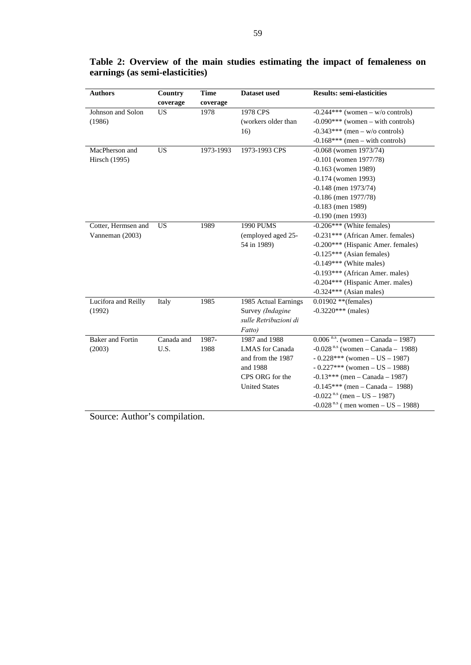| <b>Authors</b>          | Country<br>coverage | <b>Time</b><br>coverage | Dataset used           | <b>Results: semi-elasticities</b>                |
|-------------------------|---------------------|-------------------------|------------------------|--------------------------------------------------|
| Johnson and Solon       | <b>US</b>           | 1978                    | 1978 CPS               | $-0.244***$ (women – w/o controls)               |
| (1986)                  |                     |                         | (workers older than    | $-0.090***$ (women – with controls)              |
|                         |                     |                         | 16)                    | $-0.343***$ (men – w/o controls)                 |
|                         |                     |                         |                        | $-0.168***$ (men – with controls)                |
| MacPherson and          | <b>US</b>           | 1973-1993               | 1973-1993 CPS          | $-0.068$ (women 1973/74)                         |
| Hirsch (1995)           |                     |                         |                        | $-0.101$ (women $1977/78$ )                      |
|                         |                     |                         |                        | $-0.163$ (women 1989)                            |
|                         |                     |                         |                        | $-0.174$ (women 1993)                            |
|                         |                     |                         |                        | $-0.148$ (men 1973/74)                           |
|                         |                     |                         |                        | $-0.186$ (men $1977/78$ )                        |
|                         |                     |                         |                        | $-0.183$ (men 1989)                              |
|                         |                     |                         |                        | $-0.190$ (men 1993)                              |
| Cotter, Hermsen and     | <b>US</b>           | 1989                    | 1990 PUMS              | $-0.206***$ (White females)                      |
| Vanneman (2003)         |                     |                         | (employed aged 25-     | -0.231*** (African Amer. females)                |
|                         |                     |                         | 54 in 1989)            | -0.200*** (Hispanic Amer. females)               |
|                         |                     |                         |                        | $-0.125***$ (Asian females)                      |
|                         |                     |                         |                        | $-0.149***$ (White males)                        |
|                         |                     |                         |                        | -0.193*** (African Amer. males)                  |
|                         |                     |                         |                        | -0.204*** (Hispanic Amer. males)                 |
|                         |                     |                         |                        | $-0.324***$ (Asian males)                        |
| Lucifora and Reilly     | Italy               | 1985                    | 1985 Actual Earnings   | $0.01902$ **(females)                            |
| (1992)                  |                     |                         | Survey (Indagine       | $-0.3220***$ (males)                             |
|                         |                     |                         | sulle Retribuzioni di  |                                                  |
|                         |                     |                         | Fatto)                 |                                                  |
| <b>Baker</b> and Fortin | Canada and          | 1987-                   | 1987 and 1988          | $0.006$ <sup>n.s</sup> . (women – Canada – 1987) |
| (2003)                  | U.S.                | 1988                    | <b>LMAS</b> for Canada | $-0.028$ <sup>n.s</sup> (women – Canada – 1988)  |
|                         |                     |                         | and from the 1987      | $-0.228***$ (women $-$ US $-1987$ )              |
|                         |                     |                         | and 1988               | $-0.227***$ (women $-$ US $-1988$ )              |
|                         |                     |                         | CPS ORG for the        | $-0.13***$ (men – Canada – 1987)                 |
|                         |                     |                         | <b>United States</b>   | $-0.145***$ (men - Canada - 1988)                |
|                         |                     |                         |                        | $-0.022$ <sup>n.s</sup> (men – US – 1987)        |
|                         |                     |                         |                        | $-0.028$ <sup>n.s</sup> (men women – US – 1988)  |

# **Table 2: Overview of the main studies estimating the impact of femaleness on earnings (as semi-elasticities)**

Source: Author's compilation.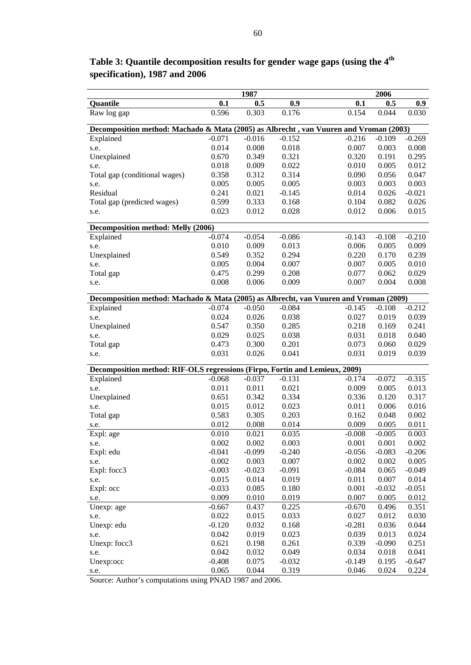|                                                                                       |          | 1987     |          |          | 2006     |                  |
|---------------------------------------------------------------------------------------|----------|----------|----------|----------|----------|------------------|
| Quantile                                                                              | 0.1      | 0.5      | 0.9      | 0.1      | 0.5      | 0.9 <sub>0</sub> |
| Raw log gap                                                                           | 0.596    | 0.303    | 0.176    | 0.154    | 0.044    | 0.030            |
| Decomposition method: Machado & Mata (2005) as Albrecht, van Vuuren and Vroman (2003) |          |          |          |          |          |                  |
| Explained                                                                             | $-0.071$ | $-0.016$ | $-0.152$ | $-0.216$ | $-0.109$ | $-0.269$         |
| s.e.                                                                                  | 0.014    | 0.008    | 0.018    | 0.007    | 0.003    | 0.008            |
| Unexplained                                                                           | 0.670    | 0.349    | 0.321    | 0.320    | 0.191    | 0.295            |
| s.e.                                                                                  | 0.018    | 0.009    | 0.022    | 0.010    | 0.005    | 0.012            |
| Total gap (conditional wages)                                                         | 0.358    | 0.312    | 0.314    | 0.090    | 0.056    | 0.047            |
| s.e.                                                                                  | 0.005    | 0.005    | 0.005    | 0.003    | 0.003    | 0.003            |
| Residual                                                                              | 0.241    | 0.021    | $-0.145$ | 0.014    | 0.026    | $-0.021$         |
| Total gap (predicted wages)                                                           | 0.599    | 0.333    | 0.168    | 0.104    | 0.082    | 0.026            |
| s.e.                                                                                  | 0.023    | 0.012    | 0.028    | 0.012    | 0.006    | 0.015            |
| Decomposition method: Melly (2006)                                                    |          |          |          |          |          |                  |
| Explained                                                                             | $-0.074$ | $-0.054$ | $-0.086$ | $-0.143$ | $-0.108$ | $-0.210$         |
| s.e.                                                                                  | 0.010    | 0.009    | 0.013    | 0.006    | 0.005    | 0.009            |
| Unexplained                                                                           | 0.549    | 0.352    | 0.294    | 0.220    | 0.170    | 0.239            |
| s.e.                                                                                  | 0.005    | 0.004    | 0.007    | 0.007    | 0.005    | 0.010            |
| Total gap                                                                             | 0.475    | 0.299    | 0.208    | 0.077    | 0.062    | 0.029            |
| s.e.                                                                                  | 0.008    | 0.006    | 0.009    | 0.007    | 0.004    | 0.008            |
| Decomposition method: Machado & Mata (2005) as Albrecht, van Vuuren and Vroman (2009) |          |          |          |          |          |                  |
| Explained                                                                             | $-0.074$ | $-0.050$ | $-0.084$ | $-0.145$ | $-0.108$ | $-0.212$         |
| s.e.                                                                                  | 0.024    | 0.026    | 0.038    | 0.027    | 0.019    | 0.039            |
| Unexplained                                                                           | 0.547    | 0.350    | 0.285    | 0.218    | 0.169    | 0.241            |
| s.e.                                                                                  | 0.029    | 0.025    | 0.038    | 0.031    | 0.018    | 0.040            |
| Total gap                                                                             | 0.473    | 0.300    | 0.201    | 0.073    | 0.060    | 0.029            |
| s.e.                                                                                  | 0.031    | 0.026    | 0.041    | 0.031    | 0.019    | 0.039            |
| Decomposition method: RIF-OLS regressions (Firpo, Fortin and Lemieux, 2009)           |          |          |          |          |          |                  |
|                                                                                       |          |          |          |          |          |                  |
| Explained                                                                             | $-0.068$ | $-0.037$ | $-0.131$ | $-0.174$ | $-0.072$ | $-0.315$         |
| s.e.                                                                                  | 0.011    | 0.011    | 0.021    | 0.009    | 0.005    | 0.013            |
| Unexplained                                                                           | 0.651    | 0.342    | 0.334    | 0.336    | 0.120    | 0.317            |
| s.e.                                                                                  | 0.015    | 0.012    | 0.023    | 0.011    | 0.006    | 0.016            |
| Total gap                                                                             | 0.583    | 0.305    | 0.203    | 0.162    | 0.048    | 0.002            |
| s.e.                                                                                  | 0.012    | 0.008    | 0.014    | 0.009    | 0.005    | 0.011            |
| Expl: age                                                                             | 0.010    | 0.021    | 0.035    | $-0.008$ | $-0.005$ | 0.003            |
| s.e.                                                                                  | 0.002    | 0.002    | 0.003    | 0.001    | 0.001    | 0.002            |
| Expl: edu                                                                             | $-0.041$ | $-0.099$ | $-0.240$ | $-0.056$ | $-0.083$ | $-0.206$         |
| s.e.                                                                                  | 0.002    | 0.003    | 0.007    | 0.002    | 0.002    | 0.005            |
| Expl: focc3                                                                           | $-0.003$ | $-0.023$ | $-0.091$ | $-0.084$ | 0.065    | $-0.049$         |
| s.e.                                                                                  | 0.015    | 0.014    | 0.019    | 0.011    | 0.007    | 0.014            |
| Expl: occ                                                                             | $-0.033$ | 0.085    | 0.180    | 0.001    | $-0.032$ | $-0.051$         |
| s.e.                                                                                  | 0.009    | 0.010    | 0.019    | 0.007    | 0.005    | 0.012            |
| Unexp: age                                                                            | $-0.667$ | 0.437    | 0.225    | $-0.670$ | 0.496    | 0.351            |
| s.e.                                                                                  | 0.022    | 0.015    | 0.033    | 0.027    | 0.012    | 0.030            |
| Unexp: edu                                                                            | $-0.120$ | 0.032    | 0.168    | $-0.281$ | 0.036    | 0.044            |
| s.e.                                                                                  | 0.042    | 0.019    | 0.023    | 0.039    | 0.013    | 0.024            |
| Unexp: focc3                                                                          | 0.621    | 0.198    | 0.261    | 0.339    | $-0.090$ | 0.251            |
| s.e.                                                                                  | 0.042    | 0.032    | 0.049    | 0.034    | 0.018    | 0.041            |
| Unexp:occ                                                                             | $-0.408$ | 0.075    | $-0.032$ | $-0.149$ | 0.195    | $-0.647$         |
| s.e.                                                                                  | 0.065    | 0.044    | 0.319    | 0.046    | 0.024    | 0.224            |

**Table 3: Quantile decomposition results for gender wage gaps (using the 4th specification), 1987 and 2006** 

Source: Author's computations using PNAD 1987 and 2006.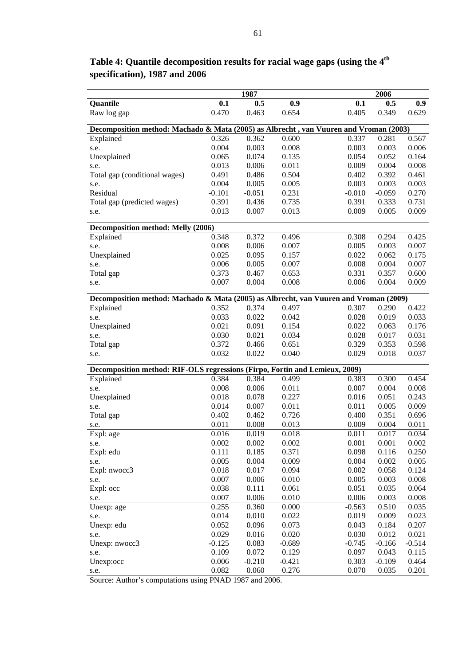|                                                                                       |                | 1987     |                |          | 2006     |                  |
|---------------------------------------------------------------------------------------|----------------|----------|----------------|----------|----------|------------------|
| Quantile                                                                              | 0.1            | 0.5      | 0.9            | 0.1      | 0.5      | 0.9 <sub>0</sub> |
| Raw log gap                                                                           | 0.470          | 0.463    | 0.654          | 0.405    | 0.349    | 0.629            |
| Decomposition method: Machado & Mata (2005) as Albrecht, van Vuuren and Vroman (2003) |                |          |                |          |          |                  |
| Explained                                                                             | 0.326          | 0.362    | 0.600          | 0.337    | 0.281    | 0.567            |
| s.e.                                                                                  | 0.004          | 0.003    | 0.008          | 0.003    | 0.003    | 0.006            |
| Unexplained                                                                           | 0.065          | 0.074    | 0.135          | 0.054    | 0.052    | 0.164            |
| s.e.                                                                                  | 0.013          | 0.006    | 0.011          | 0.009    | 0.004    | 0.008            |
| Total gap (conditional wages)                                                         | 0.491          | 0.486    | 0.504          | 0.402    | 0.392    | 0.461            |
| s.e.                                                                                  | 0.004          | 0.005    | 0.005          | 0.003    | 0.003    | 0.003            |
| Residual                                                                              | $-0.101$       | $-0.051$ | 0.231          | $-0.010$ | $-0.059$ | 0.270            |
| Total gap (predicted wages)                                                           | 0.391          | 0.436    | 0.735          | 0.391    | 0.333    | 0.731            |
| s.e.                                                                                  | 0.013          | 0.007    | 0.013          | 0.009    | 0.005    | 0.009            |
|                                                                                       |                |          |                |          |          |                  |
| Decomposition method: Melly (2006)                                                    |                |          |                |          |          |                  |
| Explained                                                                             | 0.348          | 0.372    | 0.496          | 0.308    | 0.294    | 0.425            |
| s.e.                                                                                  | 0.008          | 0.006    | 0.007          | 0.005    | 0.003    | 0.007            |
| Unexplained                                                                           | 0.025          | 0.095    | 0.157          | 0.022    | 0.062    | 0.175            |
| s.e.                                                                                  | 0.006          | 0.005    | 0.007          | 0.008    | 0.004    | 0.007            |
| Total gap                                                                             | 0.373          | 0.467    | 0.653          | 0.331    | 0.357    | 0.600            |
| s.e.                                                                                  | 0.007          | 0.004    | 0.008          | 0.006    | 0.004    | 0.009            |
|                                                                                       |                |          |                |          |          |                  |
| Decomposition method: Machado & Mata (2005) as Albrecht, van Vuuren and Vroman (2009) |                |          |                |          |          |                  |
| Explained                                                                             | 0.352          | 0.374    | 0.497          | 0.307    | 0.290    | 0.422            |
| s.e.                                                                                  | 0.033          | 0.022    | 0.042          | 0.028    | 0.019    | 0.033            |
| Unexplained                                                                           | 0.021          | 0.091    | 0.154          | 0.022    | 0.063    | 0.176            |
| s.e.                                                                                  | 0.030          | 0.021    | 0.034          | 0.028    | 0.017    | 0.031            |
| Total gap                                                                             | 0.372          | 0.466    | 0.651          | 0.329    | 0.353    | 0.598            |
| s.e.                                                                                  | 0.032          | 0.022    | 0.040          | 0.029    | 0.018    | 0.037            |
| Decomposition method: RIF-OLS regressions (Firpo, Fortin and Lemieux, 2009)           |                |          |                |          |          |                  |
|                                                                                       | 0.384          | 0.384    | 0.499          | 0.383    | 0.300    | 0.454            |
| Explained                                                                             |                |          |                |          |          |                  |
| s.e.                                                                                  | 0.008<br>0.018 | 0.006    | 0.011<br>0.227 | 0.007    | 0.004    | 0.008            |
| Unexplained                                                                           |                | 0.078    |                | 0.016    | 0.051    | 0.243            |
| s.e.                                                                                  | 0.014          | 0.007    | 0.011          | 0.011    | 0.005    | 0.009            |
| Total gap                                                                             | 0.402          | 0.462    | 0.726          | 0.400    | 0.351    | 0.696            |
| s.e.                                                                                  | 0.011          | 0.008    | 0.013          | 0.009    | 0.004    | 0.011            |
| Expl: age                                                                             | 0.016          | 0.019    | 0.018          | 0.011    | 0.017    | 0.034            |
| s.e.                                                                                  | 0.002          | 0.002    | 0.002          | 0.001    | 0.001    | 0.002            |
| Expl: edu                                                                             | 0.111          | 0.185    | 0.371          | 0.098    | 0.116    | 0.250            |
| s.e.                                                                                  | 0.005          | 0.004    | 0.009          | 0.004    | 0.002    | 0.005            |
| Expl: nwocc3                                                                          | 0.018          | 0.017    | 0.094          | 0.002    | 0.058    | 0.124            |
| s.e.                                                                                  | 0.007          | 0.006    | 0.010          | 0.005    | 0.003    | 0.008            |
| Expl: occ                                                                             | 0.038          | 0.111    | 0.061          | 0.051    | 0.035    | 0.064            |
| s.e.                                                                                  | 0.007          | 0.006    | 0.010          | 0.006    | 0.003    | 0.008            |
| Unexp: age                                                                            | 0.255          | 0.360    | 0.000          | $-0.563$ | 0.510    | 0.035            |
| s.e.                                                                                  | 0.014          | 0.010    | 0.022          | 0.019    | 0.009    | 0.023            |
| Unexp: edu                                                                            | 0.052          | 0.096    | 0.073          | 0.043    | 0.184    | 0.207            |
| s.e.                                                                                  | 0.029          | 0.016    | 0.020          | 0.030    | 0.012    | 0.021            |
| Unexp: nwocc3                                                                         | $-0.125$       | 0.083    | $-0.689$       | $-0.745$ | $-0.166$ | $-0.514$         |
| s.e.                                                                                  | 0.109          | 0.072    | 0.129          | 0.097    | 0.043    | 0.115            |
| Unexp:occ                                                                             | 0.006          | $-0.210$ | $-0.421$       | 0.303    | $-0.109$ | 0.464            |
| s.e.                                                                                  | 0.082          | 0.060    | 0.276          | 0.070    | 0.035    | 0.201            |

**Table 4: Quantile decomposition results for racial wage gaps (using the 4th specification), 1987 and 2006** 

Source: Author's computations using PNAD 1987 and 2006.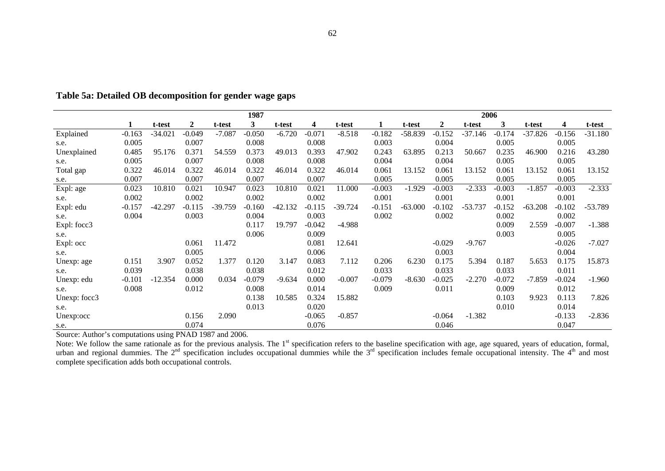|              |          |           |                  |           | 1987     |           |          |          |          |           |          | 2006      |              |           |          |           |
|--------------|----------|-----------|------------------|-----------|----------|-----------|----------|----------|----------|-----------|----------|-----------|--------------|-----------|----------|-----------|
|              | 1        | t-test    | $\boldsymbol{2}$ | t-test    | 3        | t-test    | 4        | t-test   | 1        | t-test    | 2        | t-test    | $\mathbf{3}$ | t-test    | 4        | t-test    |
| Explained    | $-0.163$ | $-34.021$ | $-0.049$         | $-7.087$  | $-0.050$ | $-6.720$  | $-0.071$ | $-8.518$ | $-0.182$ | $-58.839$ | $-0.152$ | $-37.146$ | $-0.174$     | $-37.826$ | $-0.156$ | $-31.180$ |
| s.e.         | 0.005    |           | 0.007            |           | 0.008    |           | 0.008    |          | 0.003    |           | 0.004    |           | 0.005        |           | 0.005    |           |
| Unexplained  | 0.485    | 95.176    | 0.371            | 54.559    | 0.373    | 49.013    | 0.393    | 47.902   | 0.243    | 63.895    | 0.213    | 50.667    | 0.235        | 46.900    | 0.216    | 43.280    |
| s.e.         | 0.005    |           | 0.007            |           | 0.008    |           | 0.008    |          | 0.004    |           | 0.004    |           | 0.005        |           | 0.005    |           |
| Total gap    | 0.322    | 46.014    | 0.322            | 46.014    | 0.322    | 46.014    | 0.322    | 46.014   | 0.061    | 13.152    | 0.061    | 13.152    | 0.061        | 13.152    | 0.061    | 13.152    |
| s.e.         | 0.007    |           | 0.007            |           | 0.007    |           | 0.007    |          | 0.005    |           | 0.005    |           | 0.005        |           | 0.005    |           |
| Expl: age    | 0.023    | 10.810    | 0.021            | 10.947    | 0.023    | 10.810    | 0.021    | 11.000   | $-0.003$ | $-1.929$  | $-0.003$ | $-2.333$  | $-0.003$     | $-1.857$  | $-0.003$ | $-2.333$  |
| s.e.         | 0.002    |           | 0.002            |           | 0.002    |           | 0.002    |          | 0.001    |           | 0.001    |           | 0.001        |           | 0.001    |           |
| Expl: edu    | $-0.157$ | $-42.297$ | $-0.115$         | $-39.759$ | $-0.160$ | $-42.132$ | $-0.115$ | -39.724  | $-0.151$ | $-63.000$ | $-0.102$ | $-53.737$ | $-0.152$     | $-63.208$ | $-0.102$ | $-53.789$ |
| s.e.         | 0.004    |           | 0.003            |           | 0.004    |           | 0.003    |          | 0.002    |           | 0.002    |           | 0.002        |           | 0.002    |           |
| Expl: focc3  |          |           |                  |           | 0.117    | 19.797    | $-0.042$ | $-4.988$ |          |           |          |           | 0.009        | 2.559     | $-0.007$ | $-1.388$  |
| s.e.         |          |           |                  |           | 0.006    |           | 0.009    |          |          |           |          |           | 0.003        |           | 0.005    |           |
| Expl: occ    |          |           | 0.061            | 11.472    |          |           | 0.081    | 12.641   |          |           | $-0.029$ | $-9.767$  |              |           | $-0.026$ | $-7.027$  |
| s.e.         |          |           | 0.005            |           |          |           | 0.006    |          |          |           | 0.003    |           |              |           | 0.004    |           |
| Unexp: age   | 0.151    | 3.907     | 0.052            | 1.377     | 0.120    | 3.147     | 0.083    | 7.112    | 0.206    | 6.230     | 0.175    | 5.394     | 0.187        | 5.653     | 0.175    | 15.873    |
| s.e.         | 0.039    |           | 0.038            |           | 0.038    |           | 0.012    |          | 0.033    |           | 0.033    |           | 0.033        |           | 0.011    |           |
| Unexp: edu   | $-0.101$ | $-12.354$ | 0.000            | 0.034     | $-0.079$ | $-9.634$  | 0.000    | $-0.007$ | $-0.079$ | $-8.630$  | $-0.025$ | $-2.270$  | $-0.072$     | $-7.859$  | $-0.024$ | $-1.960$  |
| s.e.         | 0.008    |           | 0.012            |           | 0.008    |           | 0.014    |          | 0.009    |           | 0.011    |           | 0.009        |           | 0.012    |           |
| Unexp: focc3 |          |           |                  |           | 0.138    | 10.585    | 0.324    | 15.882   |          |           |          |           | 0.103        | 9.923     | 0.113    | 7.826     |
| s.e.         |          |           |                  |           | 0.013    |           | 0.020    |          |          |           |          |           | 0.010        |           | 0.014    |           |
| Unexp:occ    |          |           | 0.156            | 2.090     |          |           | $-0.065$ | $-0.857$ |          |           | $-0.064$ | $-1.382$  |              |           | $-0.133$ | $-2.836$  |
| s.e.         |          |           | 0.074            |           |          |           | 0.076    |          |          |           | 0.046    |           |              |           | 0.047    |           |

**Table 5a: Detailed OB decomposition for gender wage gaps** 

Source: Author's computations using PNAD 1987 and 2006.

Note: We follow the same rationale as for the previous analysis. The  $1<sup>st</sup>$  specification refers to the baseline specification with age, age squared, years of education, formal, urban and regional dummies. The  $2<sup>nd</sup>$  specification includes occupational dummies while the  $3<sup>rd</sup>$  specification includes female occupational intensity. The  $4<sup>th</sup>$  and most complete specification adds both occupational controls.